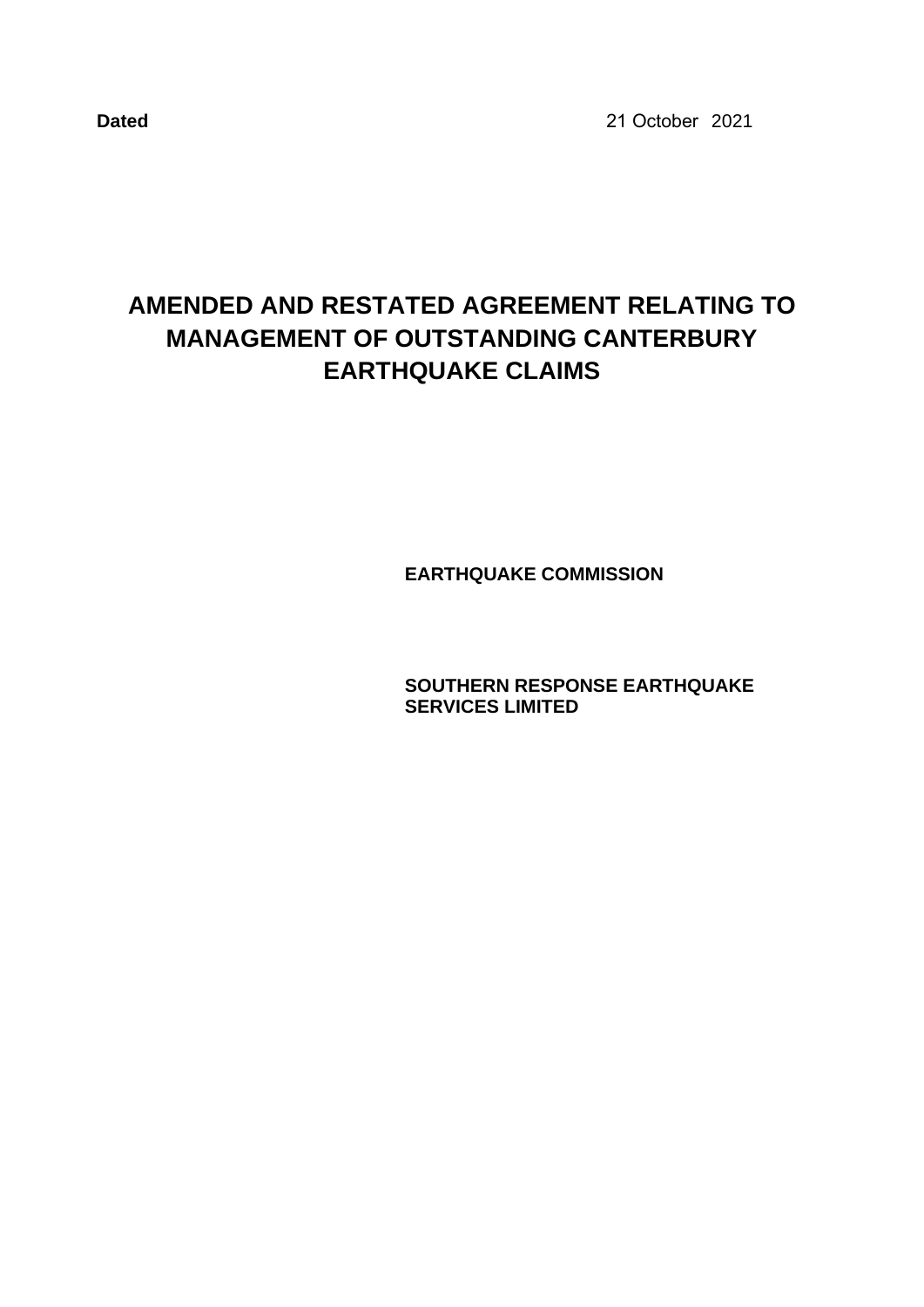**Dated** 2021 21 October

# **AMENDED AND RESTATED AGREEMENT RELATING TO MANAGEMENT OF OUTSTANDING CANTERBURY EARTHQUAKE CLAIMS**

**EARTHQUAKE COMMISSION**

**SOUTHERN RESPONSE EARTHQUAKE SERVICES LIMITED**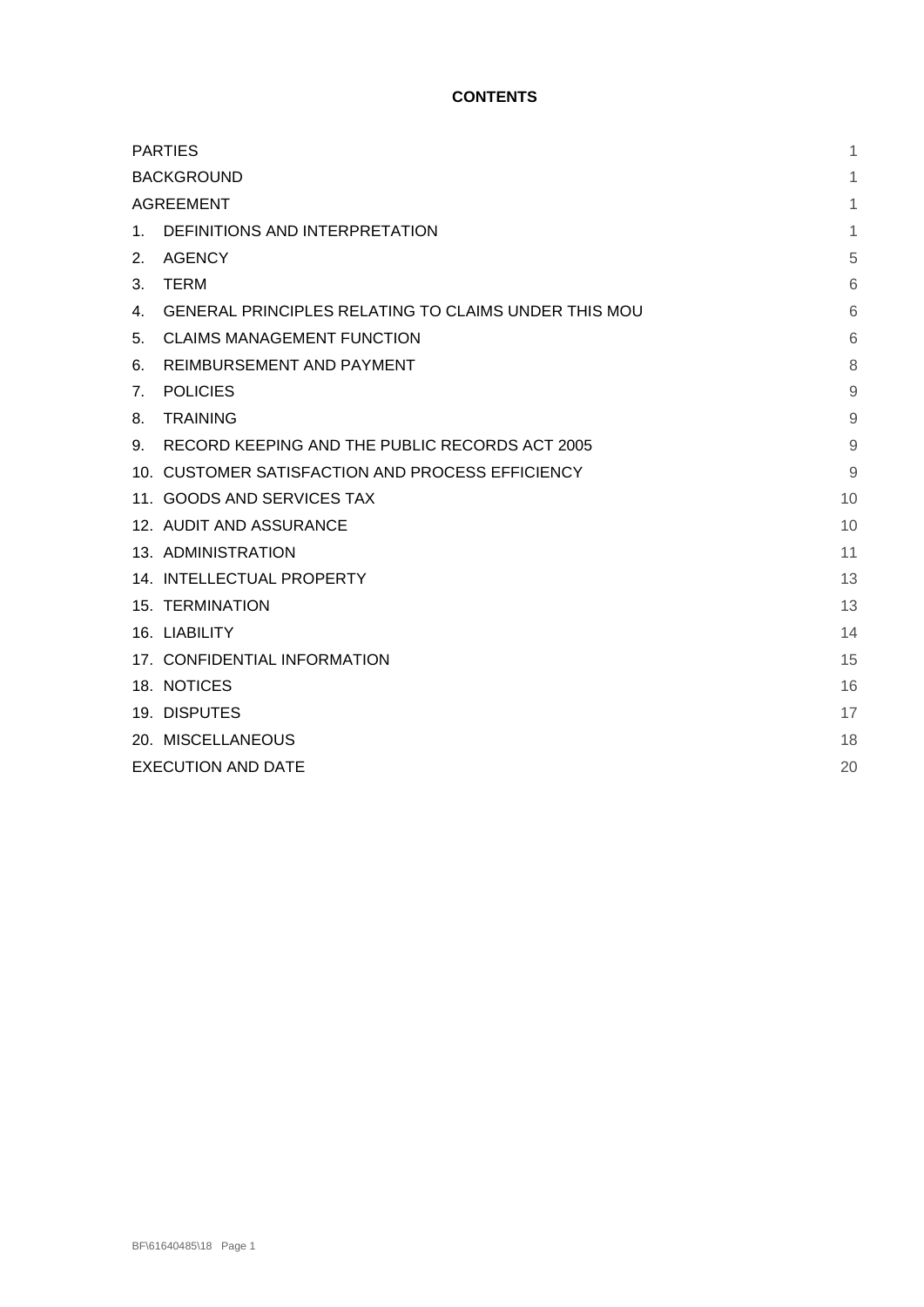## **CONTENTS**

| <b>PARTIES</b>            | 1                                                    |    |
|---------------------------|------------------------------------------------------|----|
| <b>BACKGROUND</b>         |                                                      |    |
| <b>AGREEMENT</b>          |                                                      | 1  |
| $1_{-}$                   | DEFINITIONS AND INTERPRETATION                       | 1  |
| 2.                        | <b>AGENCY</b>                                        | 5  |
| 3.                        | <b>TERM</b>                                          | 6  |
| 4.                        | GENERAL PRINCIPLES RELATING TO CLAIMS UNDER THIS MOU | 6  |
| 5.                        | <b>CLAIMS MANAGEMENT FUNCTION</b>                    | 6  |
| 6.                        | REIMBURSEMENT AND PAYMENT                            | 8  |
| 7 <sub>1</sub>            | <b>POLICIES</b>                                      | 9  |
| 8.                        | <b>TRAINING</b>                                      | 9  |
| 9.                        | RECORD KEEPING AND THE PUBLIC RECORDS ACT 2005       | 9  |
|                           | 10. CUSTOMER SATISFACTION AND PROCESS EFFICIENCY     | 9  |
|                           | 11. GOODS AND SERVICES TAX                           | 10 |
|                           | 12. AUDIT AND ASSURANCE                              | 10 |
|                           | 13. ADMINISTRATION                                   | 11 |
|                           | 14. INTELLECTUAL PROPERTY                            | 13 |
|                           | <b>15. TERMINATION</b>                               | 13 |
|                           | 16. LIABILITY                                        | 14 |
|                           | 17. CONFIDENTIAL INFORMATION                         | 15 |
|                           | 18. NOTICES                                          | 16 |
|                           | 19. DISPUTES                                         | 17 |
|                           | 20. MISCELLANEOUS                                    | 18 |
| <b>EXECUTION AND DATE</b> |                                                      |    |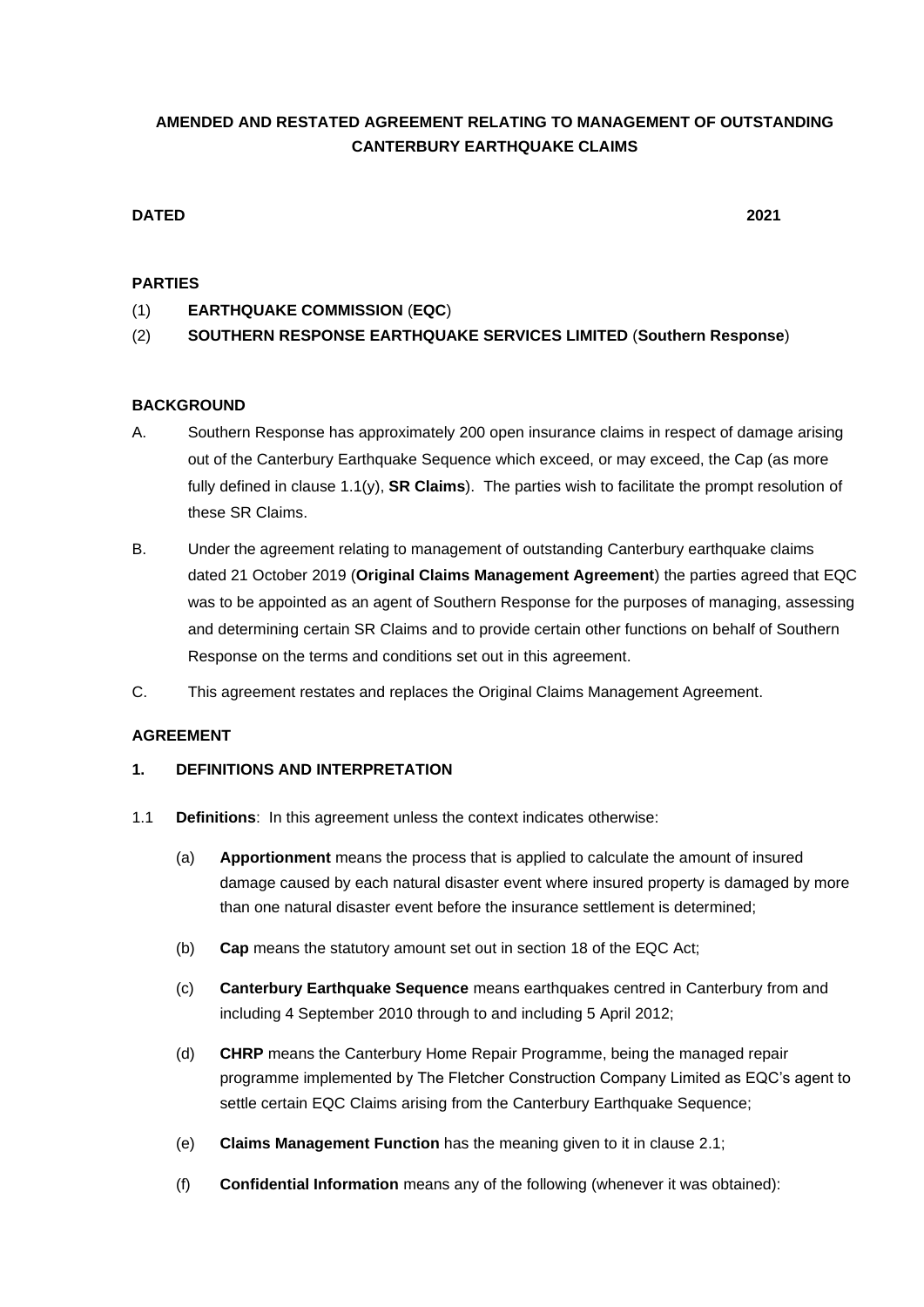## **AMENDED AND RESTATED AGREEMENT RELATING TO MANAGEMENT OF OUTSTANDING CANTERBURY EARTHQUAKE CLAIMS**

## **DATED 2021**

### **PARTIES**

- (1) **EARTHQUAKE COMMISSION** (**EQC**)
- (2) **SOUTHERN RESPONSE EARTHQUAKE SERVICES LIMITED** (**Southern Response**)

## **BACKGROUND**

- A. Southern Response has approximately 200 open insurance claims in respect of damage arising out of the Canterbury Earthquake Sequence which exceed, or may exceed, the Cap (as more fully defined in clause [1.1\(y\),](#page-5-0) **SR Claims**). The parties wish to facilitate the prompt resolution of these SR Claims.
- B. Under the agreement relating to management of outstanding Canterbury earthquake claims dated 21 October 2019 (**Original Claims Management Agreement**) the parties agreed that EQC was to be appointed as an agent of Southern Response for the purposes of managing, assessing and determining certain SR Claims and to provide certain other functions on behalf of Southern Response on the terms and conditions set out in this agreement.
- C. This agreement restates and replaces the Original Claims Management Agreement.

#### **AGREEMENT**

#### **1. DEFINITIONS AND INTERPRETATION**

- 1.1 **Definitions**: In this agreement unless the context indicates otherwise:
	- (a) **Apportionment** means the process that is applied to calculate the amount of insured damage caused by each natural disaster event where insured property is damaged by more than one natural disaster event before the insurance settlement is determined;
	- (b) **Cap** means the statutory amount set out in section 18 of the EQC Act;
	- (c) **Canterbury Earthquake Sequence** means earthquakes centred in Canterbury from and including 4 September 2010 through to and including 5 April 2012;
	- (d) **CHRP** means the Canterbury Home Repair Programme, being the managed repair programme implemented by The Fletcher Construction Company Limited as EQC's agent to settle certain EQC Claims arising from the Canterbury Earthquake Sequence;
	- (e) **Claims Management Function** has the meaning given to it in clause [2.1;](#page-6-0)
	- (f) **Confidential Information** means any of the following (whenever it was obtained):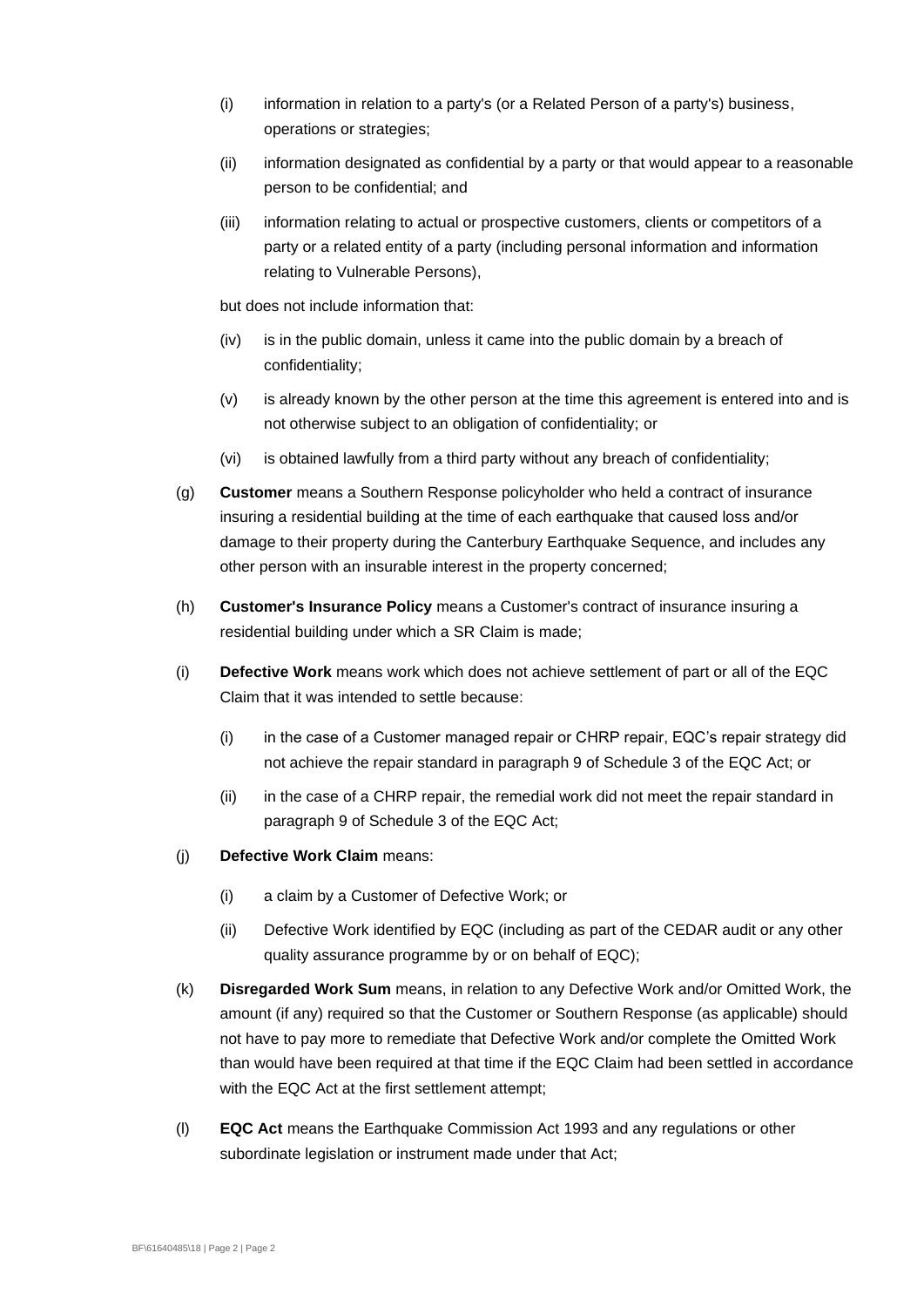- (i) information in relation to a party's (or a Related Person of a party's) business, operations or strategies;
- (ii) information designated as confidential by a party or that would appear to a reasonable person to be confidential; and
- (iii) information relating to actual or prospective customers, clients or competitors of a party or a related entity of a party (including personal information and information relating to Vulnerable Persons),

but does not include information that:

- (iv) is in the public domain, unless it came into the public domain by a breach of confidentiality;
- (v) is already known by the other person at the time this agreement is entered into and is not otherwise subject to an obligation of confidentiality; or
- (vi) is obtained lawfully from a third party without any breach of confidentiality;
- (g) **Customer** means a Southern Response policyholder who held a contract of insurance insuring a residential building at the time of each earthquake that caused loss and/or damage to their property during the Canterbury Earthquake Sequence, and includes any other person with an insurable interest in the property concerned;
- (h) **Customer's Insurance Policy** means a Customer's contract of insurance insuring a residential building under which a SR Claim is made;
- (i) **Defective Work** means work which does not achieve settlement of part or all of the EQC Claim that it was intended to settle because:
	- (i) in the case of a Customer managed repair or CHRP repair, EQC's repair strategy did not achieve the repair standard in paragraph 9 of Schedule 3 of the EQC Act; or
	- (ii) in the case of a CHRP repair, the remedial work did not meet the repair standard in paragraph 9 of Schedule 3 of the EQC Act;
- (j) **Defective Work Claim** means:
	- (i) a claim by a Customer of Defective Work; or
	- (ii) Defective Work identified by EQC (including as part of the CEDAR audit or any other quality assurance programme by or on behalf of EQC);
- (k) **Disregarded Work Sum** means, in relation to any Defective Work and/or Omitted Work, the amount (if any) required so that the Customer or Southern Response (as applicable) should not have to pay more to remediate that Defective Work and/or complete the Omitted Work than would have been required at that time if the EQC Claim had been settled in accordance with the EQC Act at the first settlement attempt;
- (l) **EQC Act** means the Earthquake Commission Act 1993 and any regulations or other subordinate legislation or instrument made under that Act;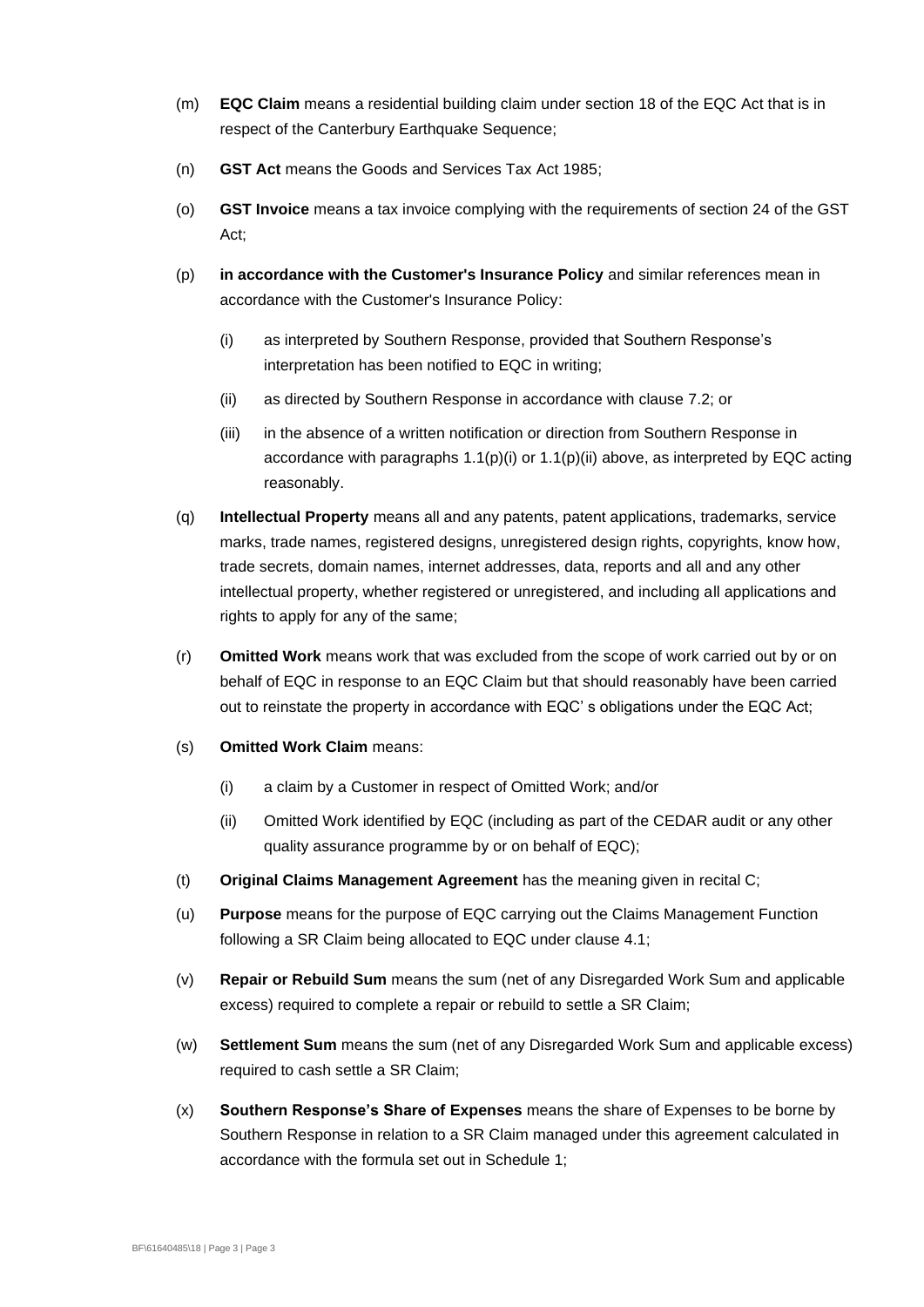- (m) **EQC Claim** means a residential building claim under section 18 of the EQC Act that is in respect of the Canterbury Earthquake Sequence;
- (n) **GST Act** means the Goods and Services Tax Act 1985;
- (o) **GST Invoice** means a tax invoice complying with the requirements of section 24 of the GST Act;
- <span id="page-4-1"></span><span id="page-4-0"></span>(p) **in accordance with the Customer's Insurance Policy** and similar references mean in accordance with the Customer's Insurance Policy:
	- (i) as interpreted by Southern Response, provided that Southern Response's interpretation has been notified to EQC in writing;
	- (ii) as directed by Southern Response in accordance with clause [7.2;](#page-10-0) or
	- (iii) in the absence of a written notification or direction from Southern Response in accordance with paragraphs  $1.1(p)(i)$  or  $1.1(p)(ii)$  above, as interpreted by EQC acting reasonably.
- (q) **Intellectual Property** means all and any patents, patent applications, trademarks, service marks, trade names, registered designs, unregistered design rights, copyrights, know how, trade secrets, domain names, internet addresses, data, reports and all and any other intellectual property, whether registered or unregistered, and including all applications and rights to apply for any of the same;
- (r) **Omitted Work** means work that was excluded from the scope of work carried out by or on behalf of EQC in response to an EQC Claim but that should reasonably have been carried out to reinstate the property in accordance with EQC' s obligations under the EQC Act;
- (s) **Omitted Work Claim** means:
	- (i) a claim by a Customer in respect of Omitted Work; and/or
	- (ii) Omitted Work identified by EQC (including as part of the CEDAR audit or any other quality assurance programme by or on behalf of EQC);
- (t) **Original Claims Management Agreement** has the meaning given in recital C;
- (u) **Purpose** means for the purpose of EQC carrying out the Claims Management Function following a SR Claim being allocated to EQC under clause [4.1;](#page-7-0)
- (v) **Repair or Rebuild Sum** means the sum (net of any Disregarded Work Sum and applicable excess) required to complete a repair or rebuild to settle a SR Claim;
- (w) **Settlement Sum** means the sum (net of any Disregarded Work Sum and applicable excess) required to cash settle a SR Claim;
- (x) **Southern Response's Share of Expenses** means the share of Expenses to be borne by Southern Response in relation to a SR Claim managed under this agreement calculated in accordance with the formula set out in Schedule 1;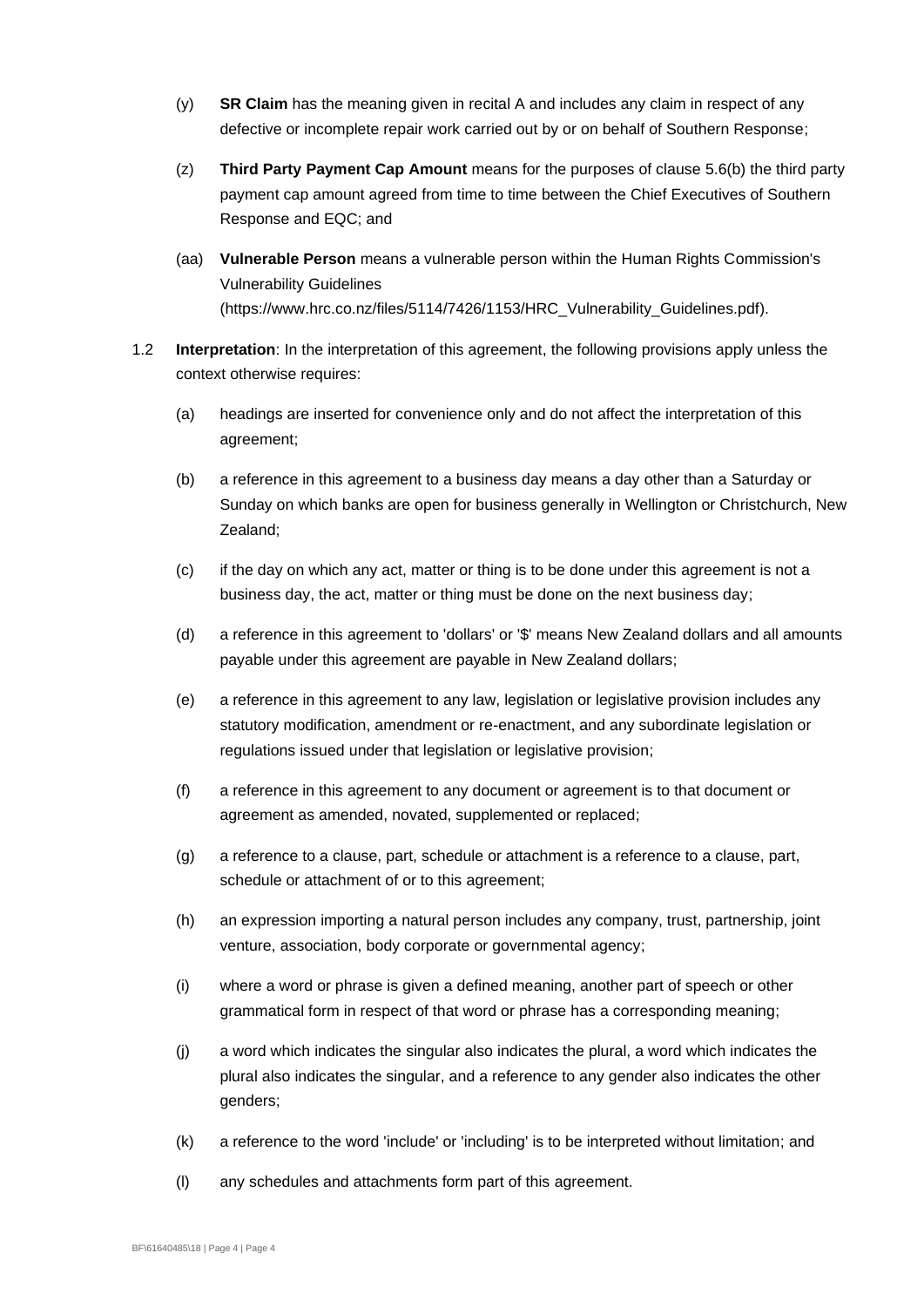- <span id="page-5-0"></span>(y) **SR Claim** has the meaning given in recital A and includes any claim in respect of any defective or incomplete repair work carried out by or on behalf of Southern Response;
- (z) **Third Party Payment Cap Amount** means for the purposes of clause [5.6\(b\)](#page-9-0) the third party payment cap amount agreed from time to time between the Chief Executives of Southern Response and EQC; and
- (aa) **Vulnerable Person** means a vulnerable person within the Human Rights Commission's Vulnerability Guidelines [\(https://www.hrc.co.nz/files/5114/7426/1153/HRC\\_Vulnerability\\_Guidelines.pdf\)](http://scanmail.trustwave.com/?c=6804&d=sr-32EAsYwaUITsdJjfaerkiMZl-aQWuFMBb9KCHyw&u=https%3a%2f%2fwww%2ehrc%2eco%2enz%2ffiles%2f5114%2f7426%2f1153%2fHRC%5fVulnerability%5fGuidelines%2epdf).
- 1.2 **Interpretation**: In the interpretation of this agreement, the following provisions apply unless the context otherwise requires:
	- (a) headings are inserted for convenience only and do not affect the interpretation of this agreement;
	- (b) a reference in this agreement to a business day means a day other than a Saturday or Sunday on which banks are open for business generally in Wellington or Christchurch, New Zealand;
	- (c) if the day on which any act, matter or thing is to be done under this agreement is not a business day, the act, matter or thing must be done on the next business day;
	- (d) a reference in this agreement to 'dollars' or '\$' means New Zealand dollars and all amounts payable under this agreement are payable in New Zealand dollars;
	- (e) a reference in this agreement to any law, legislation or legislative provision includes any statutory modification, amendment or re-enactment, and any subordinate legislation or regulations issued under that legislation or legislative provision;
	- (f) a reference in this agreement to any document or agreement is to that document or agreement as amended, novated, supplemented or replaced;
	- (g) a reference to a clause, part, schedule or attachment is a reference to a clause, part, schedule or attachment of or to this agreement;
	- (h) an expression importing a natural person includes any company, trust, partnership, joint venture, association, body corporate or governmental agency;
	- (i) where a word or phrase is given a defined meaning, another part of speech or other grammatical form in respect of that word or phrase has a corresponding meaning;
	- (j) a word which indicates the singular also indicates the plural, a word which indicates the plural also indicates the singular, and a reference to any gender also indicates the other genders;
	- (k) a reference to the word 'include' or 'including' is to be interpreted without limitation; and
	- (l) any schedules and attachments form part of this agreement.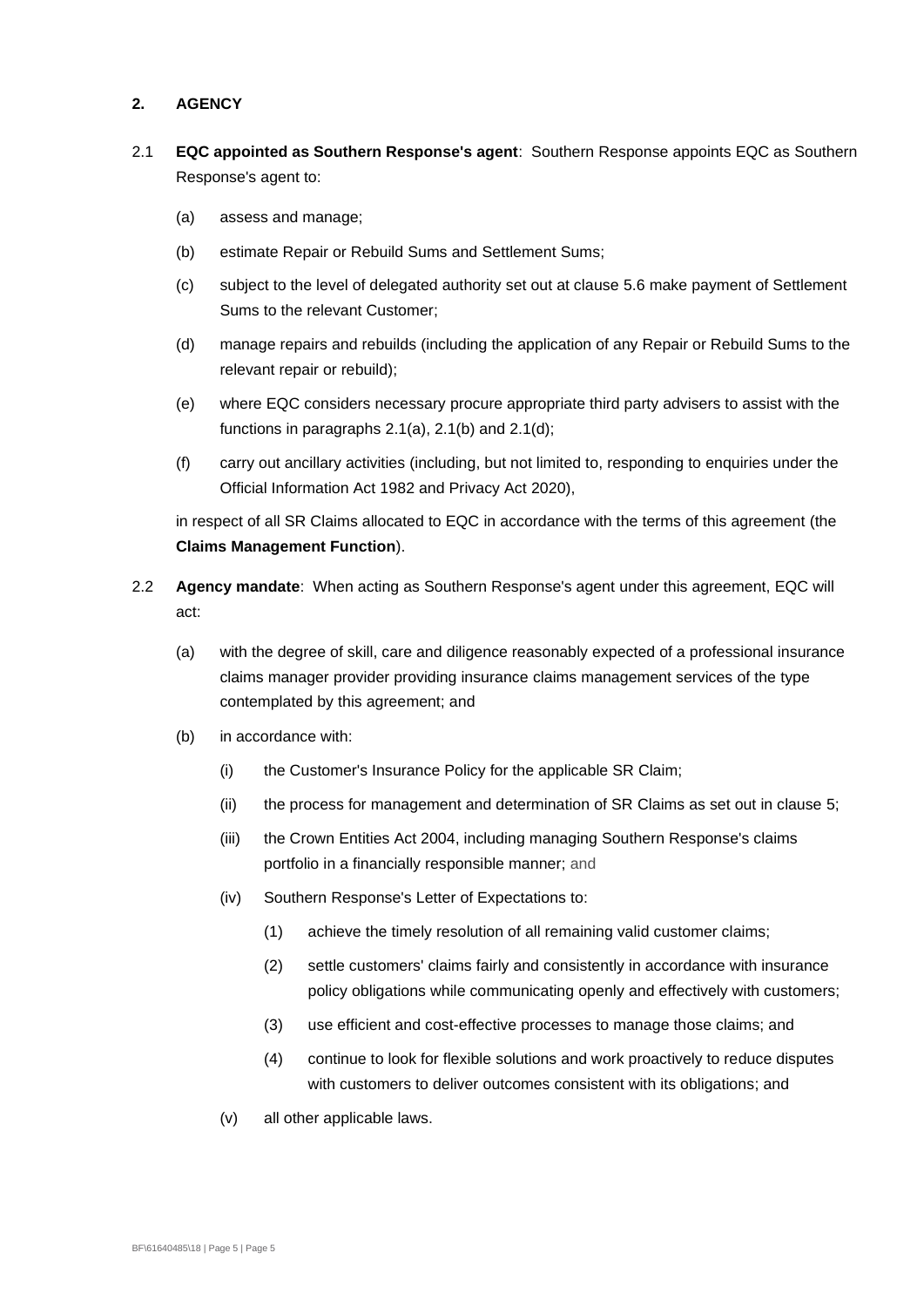#### **2. AGENCY**

- <span id="page-6-2"></span><span id="page-6-1"></span><span id="page-6-0"></span>2.1 **EQC appointed as Southern Response's agent**: Southern Response appoints EQC as Southern Response's agent to:
	- (a) assess and manage;
	- (b) estimate Repair or Rebuild Sums and Settlement Sums;
	- (c) subject to the level of delegated authority set out at clause [5.6](#page-9-1) make payment of Settlement Sums to the relevant Customer;
	- (d) manage repairs and rebuilds (including the application of any Repair or Rebuild Sums to the relevant repair or rebuild);
	- (e) where EQC considers necessary procure appropriate third party advisers to assist with the functions in paragraphs [2.1\(a\),](#page-6-1) [2.1\(b\)](#page-6-2) and [2.1\(d\);](#page-6-3)
	- (f) carry out ancillary activities (including, but not limited to, responding to enquiries under the Official Information Act 1982 and Privacy Act 2020),

<span id="page-6-3"></span>in respect of all SR Claims allocated to EQC in accordance with the terms of this agreement (the **Claims Management Function**).

- 2.2 **Agency mandate**: When acting as Southern Response's agent under this agreement, EQC will act:
	- (a) with the degree of skill, care and diligence reasonably expected of a professional insurance claims manager provider providing insurance claims management services of the type contemplated by this agreement; and
	- (b) in accordance with:
		- (i) the Customer's Insurance Policy for the applicable SR Claim;
		- (ii) the process for management and determination of SR Claims as set out in clause [5;](#page-7-1)
		- (iii) the Crown Entities Act 2004, including managing Southern Response's claims portfolio in a financially responsible manner; and
		- (iv) Southern Response's Letter of Expectations to:
			- (1) achieve the timely resolution of all remaining valid customer claims;
			- (2) settle customers' claims fairly and consistently in accordance with insurance policy obligations while communicating openly and effectively with customers;
			- (3) use efficient and cost-effective processes to manage those claims; and
			- (4) continue to look for flexible solutions and work proactively to reduce disputes with customers to deliver outcomes consistent with its obligations; and
		- (v) all other applicable laws.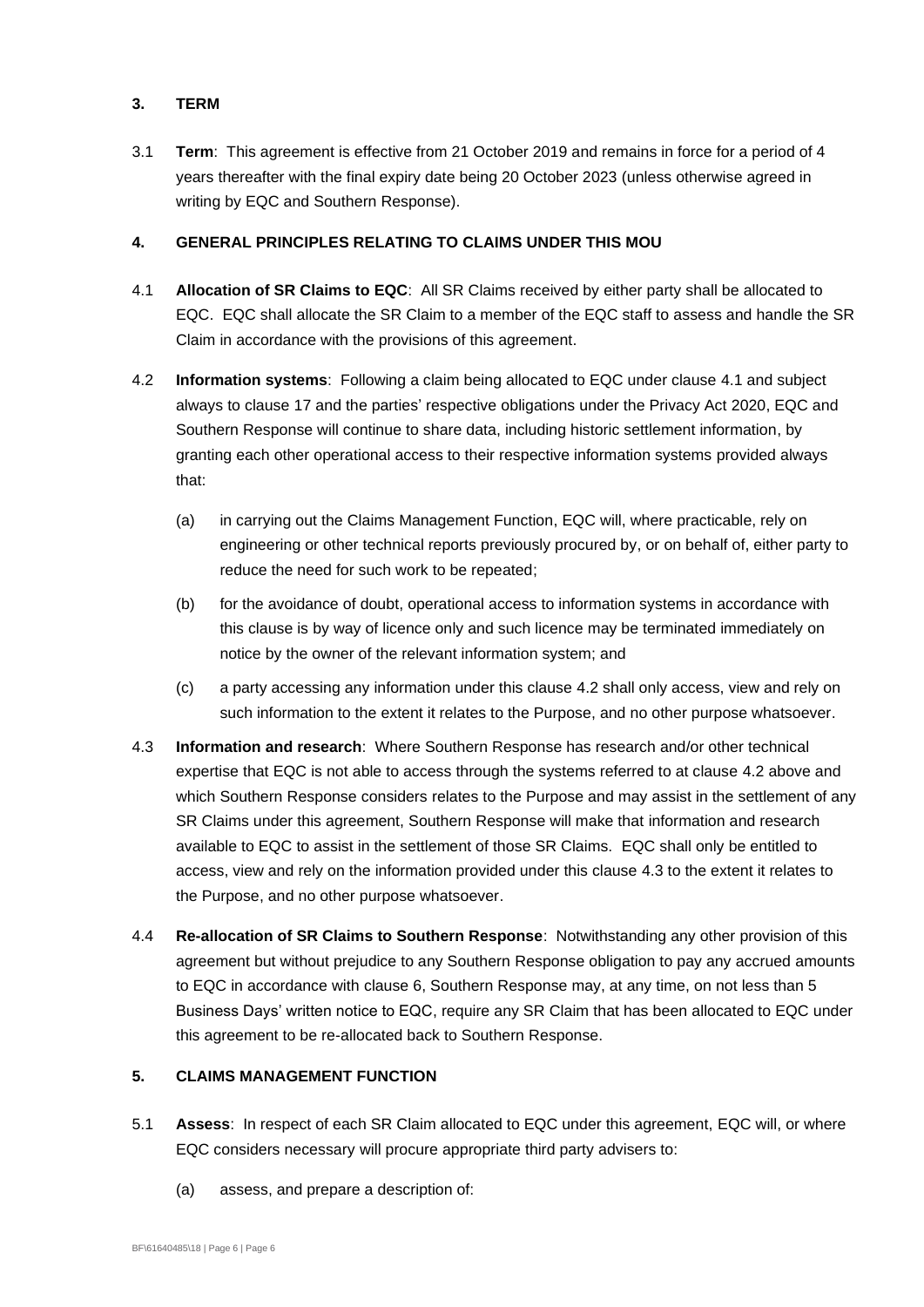#### **3. TERM**

3.1 **Term**: This agreement is effective from 21 October 2019 and remains in force for a period of 4 years thereafter with the final expiry date being 20 October 2023 (unless otherwise agreed in writing by EQC and Southern Response).

## **4. GENERAL PRINCIPLES RELATING TO CLAIMS UNDER THIS MOU**

- <span id="page-7-5"></span><span id="page-7-0"></span>4.1 **Allocation of SR Claims to EQC**: All SR Claims received by either party shall be allocated to EQC. EQC shall allocate the SR Claim to a member of the EQC staff to assess and handle the SR Claim in accordance with the provisions of this agreement.
- <span id="page-7-2"></span>4.2 **Information systems**: Following a claim being allocated to EQC under clause [4.1](#page-7-0) and subject always to clause [17](#page-16-0) and the parties' respective obligations under the Privacy Act 2020, EQC and Southern Response will continue to share data, including historic settlement information, by granting each other operational access to their respective information systems provided always that:
	- (a) in carrying out the Claims Management Function, EQC will, where practicable, rely on engineering or other technical reports previously procured by, or on behalf of, either party to reduce the need for such work to be repeated;
	- (b) for the avoidance of doubt, operational access to information systems in accordance with this clause is by way of licence only and such licence may be terminated immediately on notice by the owner of the relevant information system; and
	- (c) a party accessing any information under this clause [4.2](#page-7-2) shall only access, view and rely on such information to the extent it relates to the Purpose, and no other purpose whatsoever.
- <span id="page-7-3"></span>4.3 **Information and research**: Where Southern Response has research and/or other technical expertise that EQC is not able to access through the systems referred to at clause [4.2](#page-7-2) above and which Southern Response considers relates to the Purpose and may assist in the settlement of any SR Claims under this agreement, Southern Response will make that information and research available to EQC to assist in the settlement of those SR Claims. EQC shall only be entitled to access, view and rely on the information provided under this clause [4.3](#page-7-3) to the extent it relates to the Purpose, and no other purpose whatsoever.
- 4.4 **Re-allocation of SR Claims to Southern Response**: Notwithstanding any other provision of this agreement but without prejudice to any Southern Response obligation to pay any accrued amounts to EQC in accordance with clause [6,](#page-9-2) Southern Response may, at any time, on not less than 5 Business Days' written notice to EQC, require any SR Claim that has been allocated to EQC under this agreement to be re-allocated back to Southern Response.

#### <span id="page-7-1"></span>**5. CLAIMS MANAGEMENT FUNCTION**

- <span id="page-7-4"></span>5.1 **Assess**: In respect of each SR Claim allocated to EQC under this agreement, EQC will, or where EQC considers necessary will procure appropriate third party advisers to:
	- (a) assess, and prepare a description of: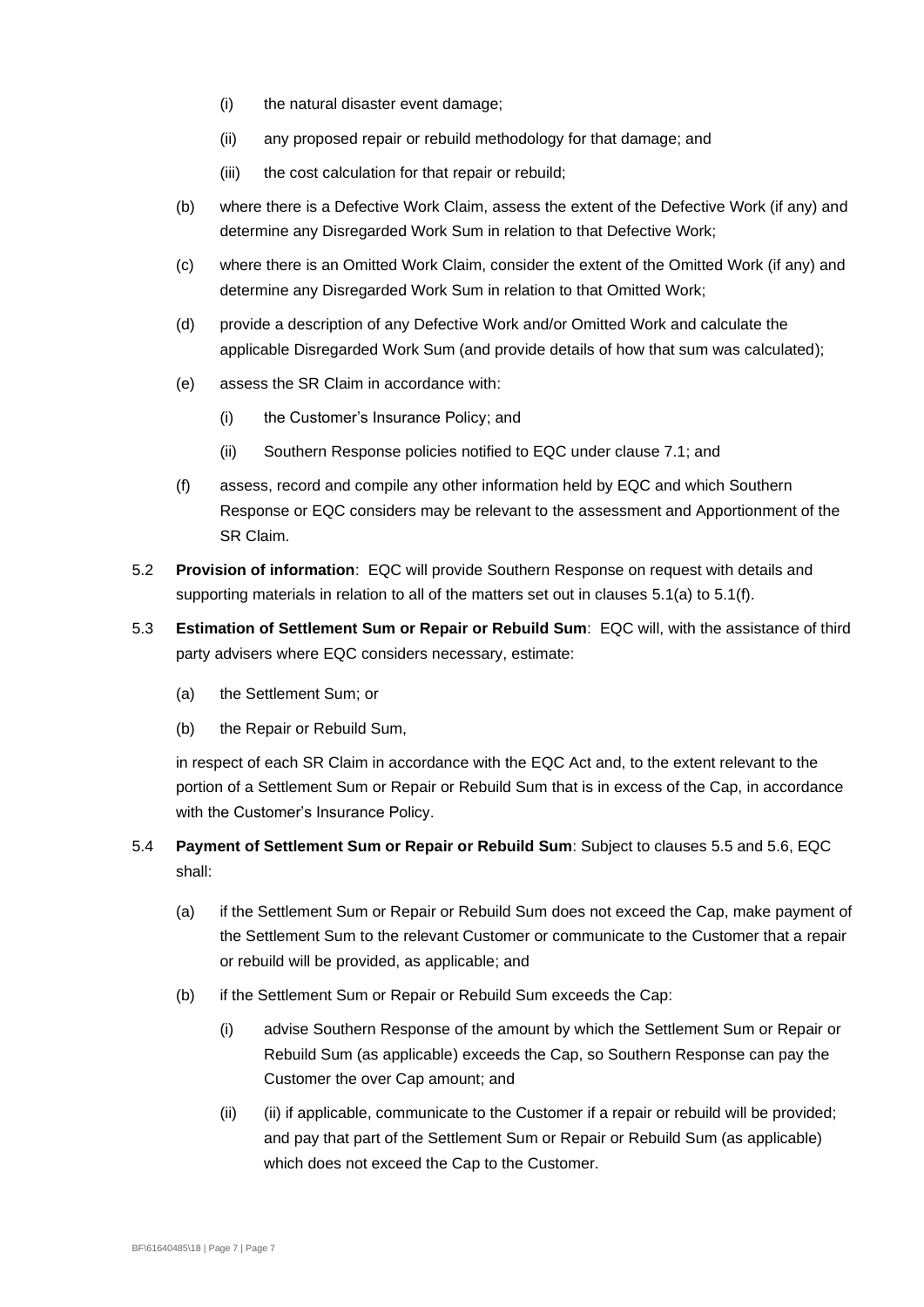- (i) the natural disaster event damage;
- (ii) any proposed repair or rebuild methodology for that damage; and
- (iii) the cost calculation for that repair or rebuild;
- (b) where there is a Defective Work Claim, assess the extent of the Defective Work (if any) and determine any Disregarded Work Sum in relation to that Defective Work;
- (c) where there is an Omitted Work Claim, consider the extent of the Omitted Work (if any) and determine any Disregarded Work Sum in relation to that Omitted Work;
- (d) provide a description of any Defective Work and/or Omitted Work and calculate the applicable Disregarded Work Sum (and provide details of how that sum was calculated);
- <span id="page-8-2"></span>(e) assess the SR Claim in accordance with:
	- (i) the Customer's Insurance Policy; and
	- (ii) Southern Response policies notified to EQC under clause [7.1;](#page-10-1) and
- <span id="page-8-0"></span>(f) assess, record and compile any other information held by EQC and which Southern Response or EQC considers may be relevant to the assessment and Apportionment of the SR Claim.
- 5.2 **Provision of information**: EQC will provide Southern Response on request with details and supporting materials in relation to all of the matters set out in clauses [5.1\(a\)](#page-7-4) to [5.1\(f\).](#page-8-0)
- <span id="page-8-1"></span>5.3 **Estimation of Settlement Sum or Repair or Rebuild Sum**: EQC will, with the assistance of third party advisers where EQC considers necessary, estimate:
	- (a) the Settlement Sum; or
	- (b) the Repair or Rebuild Sum,

in respect of each SR Claim in accordance with the EQC Act and, to the extent relevant to the portion of a Settlement Sum or Repair or Rebuild Sum that is in excess of the Cap, in accordance with the Customer's Insurance Policy.

- 5.4 **Payment of Settlement Sum or Repair or Rebuild Sum**: Subject to clauses [5.5](#page-9-3) and [5.6,](#page-9-1) EQC shall:
	- (a) if the Settlement Sum or Repair or Rebuild Sum does not exceed the Cap, make payment of the Settlement Sum to the relevant Customer or communicate to the Customer that a repair or rebuild will be provided, as applicable; and
	- (b) if the Settlement Sum or Repair or Rebuild Sum exceeds the Cap:
		- (i) advise Southern Response of the amount by which the Settlement Sum or Repair or Rebuild Sum (as applicable) exceeds the Cap, so Southern Response can pay the Customer the over Cap amount; and
		- (ii) (ii) if applicable, communicate to the Customer if a repair or rebuild will be provided; and pay that part of the Settlement Sum or Repair or Rebuild Sum (as applicable) which does not exceed the Cap to the Customer.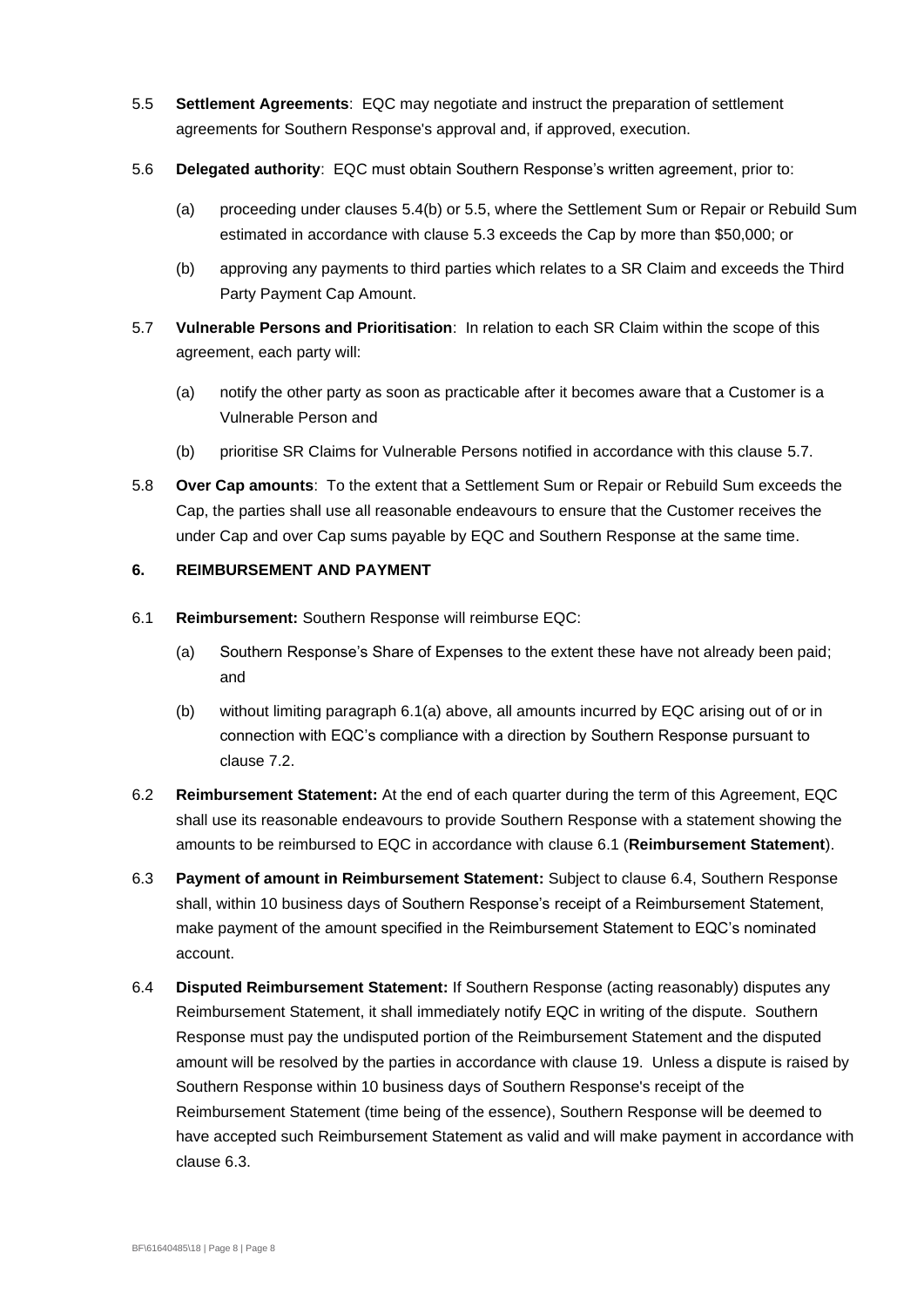- <span id="page-9-3"></span>5.5 **Settlement Agreements**: EQC may negotiate and instruct the preparation of settlement agreements for Southern Response's approval and, if approved, execution.
- <span id="page-9-1"></span>5.6 **Delegated authority**: EQC must obtain Southern Response's written agreement, prior to:
	- (a) proceeding under clauses 5.4(b) or [5.5,](#page-9-3) where the Settlement Sum or Repair or Rebuild Sum estimated in accordance with clause [5.3](#page-8-1) exceeds the Cap by more than \$50,000; or
	- (b) approving any payments to third parties which relates to a SR Claim and exceeds the Third Party Payment Cap Amount.
- <span id="page-9-4"></span><span id="page-9-0"></span>5.7 **Vulnerable Persons and Prioritisation**: In relation to each SR Claim within the scope of this agreement, each party will:
	- (a) notify the other party as soon as practicable after it becomes aware that a Customer is a Vulnerable Person and
	- (b) prioritise SR Claims for Vulnerable Persons notified in accordance with this clause [5.7.](#page-9-4)
- 5.8 **Over Cap amounts**: To the extent that a Settlement Sum or Repair or Rebuild Sum exceeds the Cap, the parties shall use all reasonable endeavours to ensure that the Customer receives the under Cap and over Cap sums payable by EQC and Southern Response at the same time.

## <span id="page-9-2"></span>**6. REIMBURSEMENT AND PAYMENT**

- <span id="page-9-6"></span><span id="page-9-5"></span>6.1 **Reimbursement:** Southern Response will reimburse EQC:
	- (a) Southern Response's Share of Expenses to the extent these have not already been paid; and
	- (b) without limiting paragraph [6.1\(a\)](#page-9-5) above, all amounts incurred by EQC arising out of or in connection with EQC's compliance with a direction by Southern Response pursuant to clause [7.2.](#page-10-0)
- 6.2 **Reimbursement Statement:** At the end of each quarter during the term of this Agreement, EQC shall use its reasonable endeavours to provide Southern Response with a statement showing the amounts to be reimbursed to EQC in accordance with clause [6.1](#page-9-6) (**Reimbursement Statement**).
- <span id="page-9-8"></span>6.3 **Payment of amount in Reimbursement Statement:** Subject to clause [6.4,](#page-9-7) Southern Response shall, within 10 business days of Southern Response's receipt of a Reimbursement Statement, make payment of the amount specified in the Reimbursement Statement to EQC's nominated account.
- <span id="page-9-7"></span>6.4 **Disputed Reimbursement Statement:** If Southern Response (acting reasonably) disputes any Reimbursement Statement, it shall immediately notify EQC in writing of the dispute. Southern Response must pay the undisputed portion of the Reimbursement Statement and the disputed amount will be resolved by the parties in accordance with clause [19.](#page-18-0) Unless a dispute is raised by Southern Response within 10 business days of Southern Response's receipt of the Reimbursement Statement (time being of the essence), Southern Response will be deemed to have accepted such Reimbursement Statement as valid and will make payment in accordance with clause [6.3.](#page-9-8)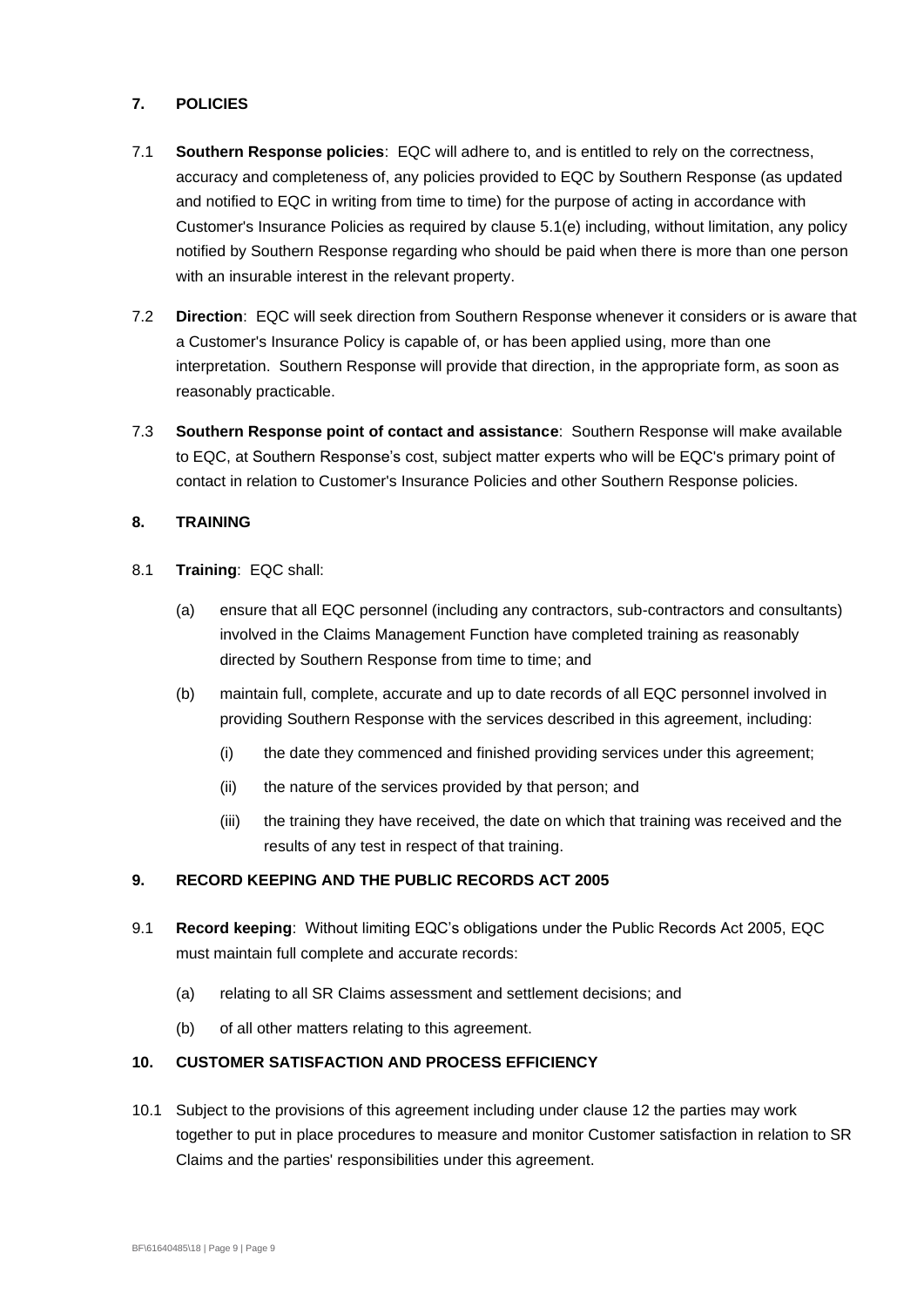## **7. POLICIES**

- <span id="page-10-1"></span>7.1 **Southern Response policies**: EQC will adhere to, and is entitled to rely on the correctness, accuracy and completeness of, any policies provided to EQC by Southern Response (as updated and notified to EQC in writing from time to time) for the purpose of acting in accordance with Customer's Insurance Policies as required by clause [5.1\(e\)](#page-8-2) including, without limitation, any policy notified by Southern Response regarding who should be paid when there is more than one person with an insurable interest in the relevant property.
- <span id="page-10-0"></span>7.2 **Direction**: EQC will seek direction from Southern Response whenever it considers or is aware that a Customer's Insurance Policy is capable of, or has been applied using, more than one interpretation. Southern Response will provide that direction, in the appropriate form, as soon as reasonably practicable.
- 7.3 **Southern Response point of contact and assistance**: Southern Response will make available to EQC, at Southern Response's cost, subject matter experts who will be EQC's primary point of contact in relation to Customer's Insurance Policies and other Southern Response policies.

## **8. TRAINING**

- 8.1 **Training**: EQC shall:
	- (a) ensure that all EQC personnel (including any contractors, sub-contractors and consultants) involved in the Claims Management Function have completed training as reasonably directed by Southern Response from time to time; and
	- (b) maintain full, complete, accurate and up to date records of all EQC personnel involved in providing Southern Response with the services described in this agreement, including:
		- (i) the date they commenced and finished providing services under this agreement;
		- (ii) the nature of the services provided by that person; and
		- (iii) the training they have received, the date on which that training was received and the results of any test in respect of that training.

## **9. RECORD KEEPING AND THE PUBLIC RECORDS ACT 2005**

- 9.1 **Record keeping**: Without limiting EQC's obligations under the Public Records Act 2005, EQC must maintain full complete and accurate records:
	- (a) relating to all SR Claims assessment and settlement decisions; and
	- (b) of all other matters relating to this agreement.

### **10. CUSTOMER SATISFACTION AND PROCESS EFFICIENCY**

10.1 Subject to the provisions of this agreement including under clause [12](#page-11-0) the parties may work together to put in place procedures to measure and monitor Customer satisfaction in relation to SR Claims and the parties' responsibilities under this agreement.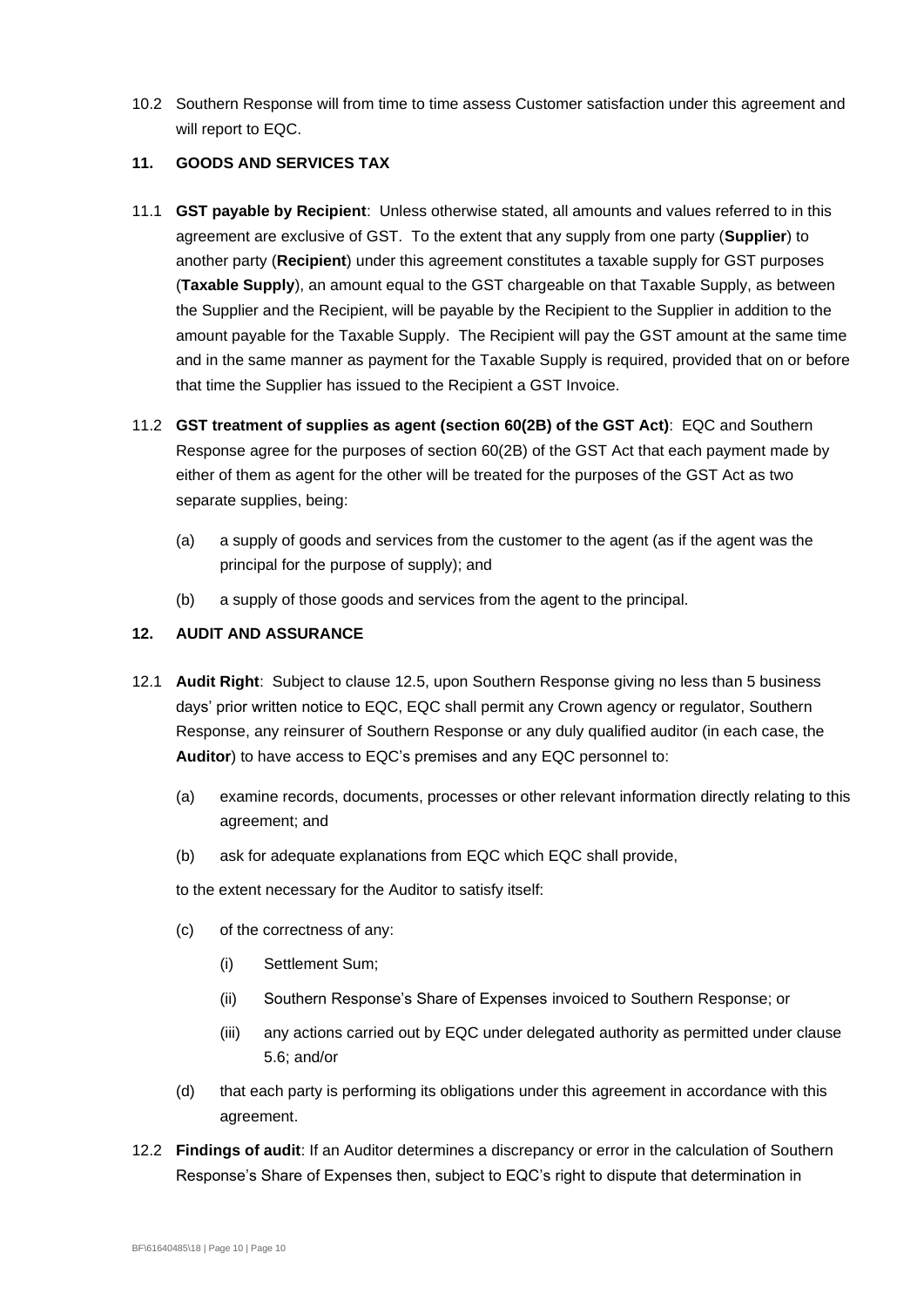10.2 Southern Response will from time to time assess Customer satisfaction under this agreement and will report to EQC.

### **11. GOODS AND SERVICES TAX**

- 11.1 **GST payable by Recipient**: Unless otherwise stated, all amounts and values referred to in this agreement are exclusive of GST. To the extent that any supply from one party (**Supplier**) to another party (**Recipient**) under this agreement constitutes a taxable supply for GST purposes (**Taxable Supply**), an amount equal to the GST chargeable on that Taxable Supply, as between the Supplier and the Recipient, will be payable by the Recipient to the Supplier in addition to the amount payable for the Taxable Supply. The Recipient will pay the GST amount at the same time and in the same manner as payment for the Taxable Supply is required, provided that on or before that time the Supplier has issued to the Recipient a GST Invoice.
- 11.2 **GST treatment of supplies as agent (section 60(2B) of the GST Act)**: EQC and Southern Response agree for the purposes of section 60(2B) of the GST Act that each payment made by either of them as agent for the other will be treated for the purposes of the GST Act as two separate supplies, being:
	- (a) a supply of goods and services from the customer to the agent (as if the agent was the principal for the purpose of supply); and
	- (b) a supply of those goods and services from the agent to the principal.

## <span id="page-11-0"></span>**12. AUDIT AND ASSURANCE**

- <span id="page-11-1"></span>12.1 **Audit Right**: Subject to clause [12.5,](#page-12-0) upon Southern Response giving no less than 5 business days' prior written notice to EQC, EQC shall permit any Crown agency or regulator, Southern Response, any reinsurer of Southern Response or any duly qualified auditor (in each case, the **Auditor**) to have access to EQC's premises and any EQC personnel to:
	- (a) examine records, documents, processes or other relevant information directly relating to this agreement; and
	- (b) ask for adequate explanations from EQC which EQC shall provide,

to the extent necessary for the Auditor to satisfy itself:

- (c) of the correctness of any:
	- (i) Settlement Sum;
	- (ii) Southern Response's Share of Expenses invoiced to Southern Response; or
	- (iii) any actions carried out by EQC under delegated authority as permitted under clause [5.6;](#page-9-1) and/or
- (d) that each party is performing its obligations under this agreement in accordance with this agreement.
- 12.2 **Findings of audit**: If an Auditor determines a discrepancy or error in the calculation of Southern Response's Share of Expenses then, subject to EQC's right to dispute that determination in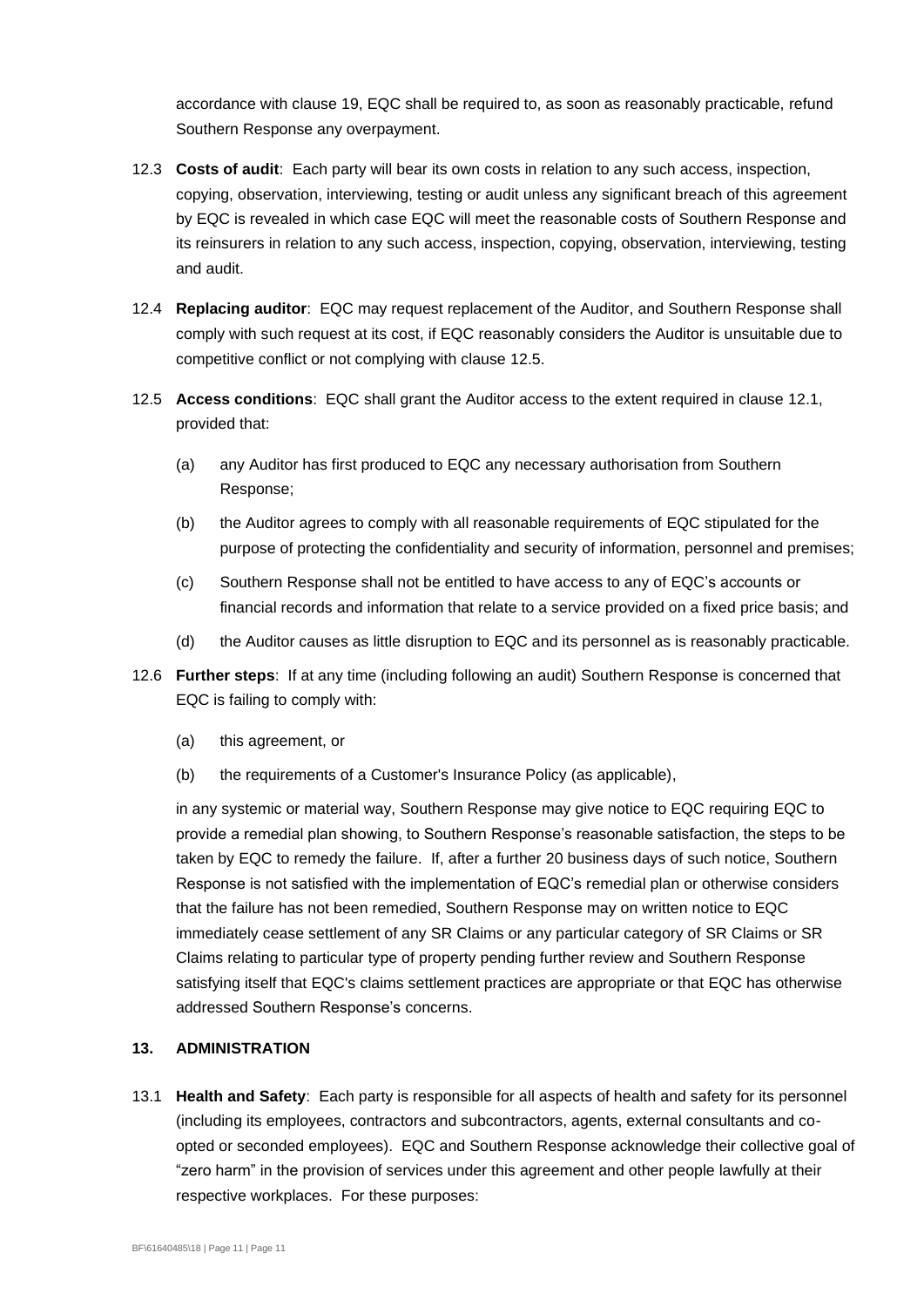accordance with clause [19,](#page-18-0) EQC shall be required to, as soon as reasonably practicable, refund Southern Response any overpayment.

- 12.3 **Costs of audit**: Each party will bear its own costs in relation to any such access, inspection, copying, observation, interviewing, testing or audit unless any significant breach of this agreement by EQC is revealed in which case EQC will meet the reasonable costs of Southern Response and its reinsurers in relation to any such access, inspection, copying, observation, interviewing, testing and audit.
- 12.4 **Replacing auditor**: EQC may request replacement of the Auditor, and Southern Response shall comply with such request at its cost, if EQC reasonably considers the Auditor is unsuitable due to competitive conflict or not complying with clause [12.5.](#page-12-0)
- <span id="page-12-0"></span>12.5 **Access conditions**: EQC shall grant the Auditor access to the extent required in clause [12.1,](#page-11-1) provided that:
	- (a) any Auditor has first produced to EQC any necessary authorisation from Southern Response;
	- (b) the Auditor agrees to comply with all reasonable requirements of EQC stipulated for the purpose of protecting the confidentiality and security of information, personnel and premises;
	- (c) Southern Response shall not be entitled to have access to any of EQC's accounts or financial records and information that relate to a service provided on a fixed price basis; and
	- (d) the Auditor causes as little disruption to EQC and its personnel as is reasonably practicable.
- 12.6 **Further steps**: If at any time (including following an audit) Southern Response is concerned that EQC is failing to comply with:
	- (a) this agreement, or
	- (b) the requirements of a Customer's Insurance Policy (as applicable),

in any systemic or material way, Southern Response may give notice to EQC requiring EQC to provide a remedial plan showing, to Southern Response's reasonable satisfaction, the steps to be taken by EQC to remedy the failure. If, after a further 20 business days of such notice, Southern Response is not satisfied with the implementation of EQC's remedial plan or otherwise considers that the failure has not been remedied, Southern Response may on written notice to EQC immediately cease settlement of any SR Claims or any particular category of SR Claims or SR Claims relating to particular type of property pending further review and Southern Response satisfying itself that EQC's claims settlement practices are appropriate or that EQC has otherwise addressed Southern Response's concerns.

## **13. ADMINISTRATION**

13.1 **Health and Safety**: Each party is responsible for all aspects of health and safety for its personnel (including its employees, contractors and subcontractors, agents, external consultants and coopted or seconded employees). EQC and Southern Response acknowledge their collective goal of "zero harm" in the provision of services under this agreement and other people lawfully at their respective workplaces. For these purposes: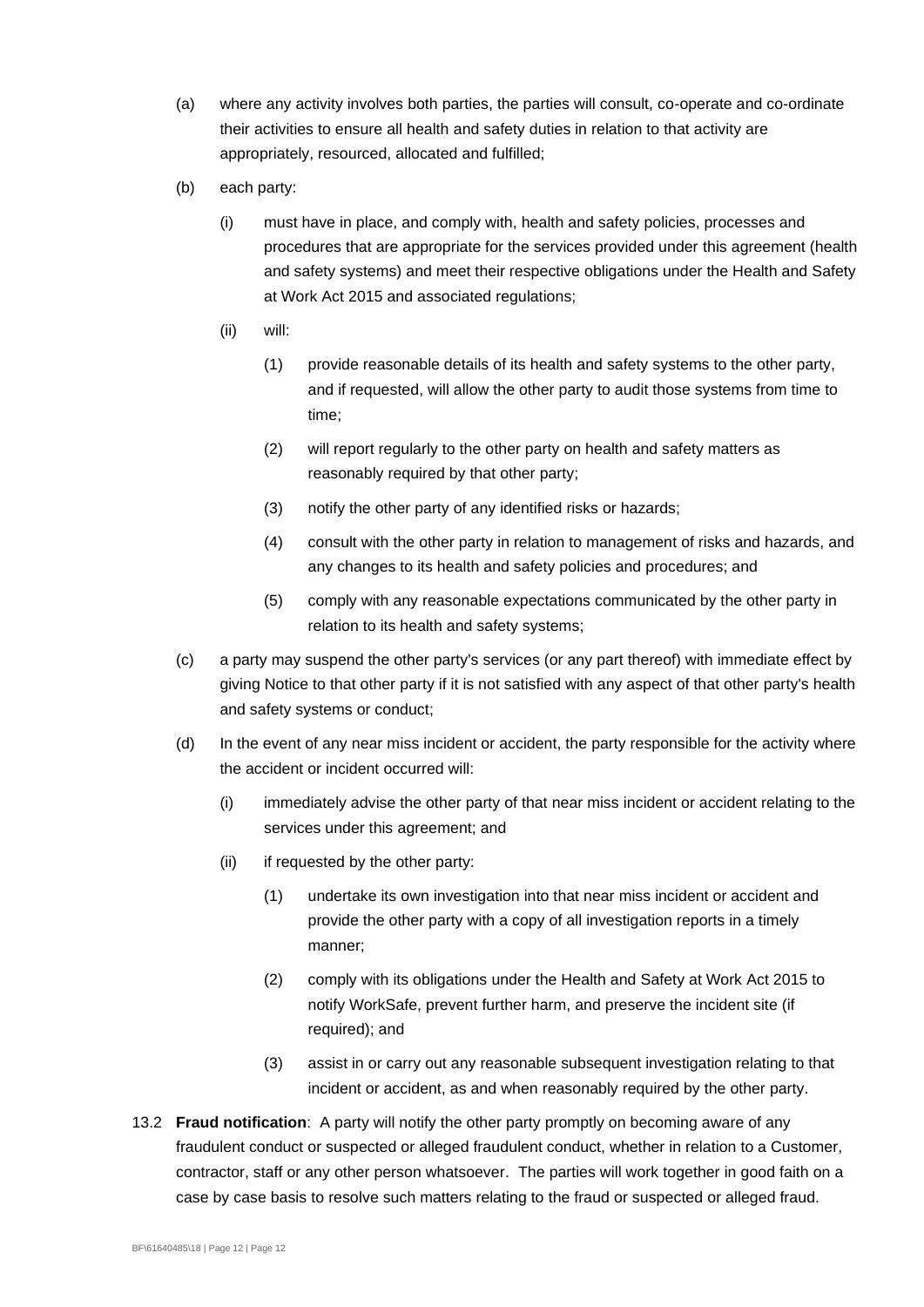- (a) where any activity involves both parties, the parties will consult, co-operate and co-ordinate their activities to ensure all health and safety duties in relation to that activity are appropriately, resourced, allocated and fulfilled;
- (b) each party:
	- (i) must have in place, and comply with, health and safety policies, processes and procedures that are appropriate for the services provided under this agreement (health and safety systems) and meet their respective obligations under the Health and Safety at Work Act 2015 and associated regulations;
	- (ii) will:
		- (1) provide reasonable details of its health and safety systems to the other party, and if requested, will allow the other party to audit those systems from time to time;
		- (2) will report regularly to the other party on health and safety matters as reasonably required by that other party;
		- (3) notify the other party of any identified risks or hazards;
		- (4) consult with the other party in relation to management of risks and hazards, and any changes to its health and safety policies and procedures; and
		- (5) comply with any reasonable expectations communicated by the other party in relation to its health and safety systems;
- (c) a party may suspend the other party's services (or any part thereof) with immediate effect by giving Notice to that other party if it is not satisfied with any aspect of that other party's health and safety systems or conduct;
- (d) In the event of any near miss incident or accident, the party responsible for the activity where the accident or incident occurred will:
	- (i) immediately advise the other party of that near miss incident or accident relating to the services under this agreement; and
	- (ii) if requested by the other party:
		- (1) undertake its own investigation into that near miss incident or accident and provide the other party with a copy of all investigation reports in a timely manner;
		- (2) comply with its obligations under the Health and Safety at Work Act 2015 to notify WorkSafe, prevent further harm, and preserve the incident site (if required); and
		- (3) assist in or carry out any reasonable subsequent investigation relating to that incident or accident, as and when reasonably required by the other party.
- 13.2 **Fraud notification**: A party will notify the other party promptly on becoming aware of any fraudulent conduct or suspected or alleged fraudulent conduct, whether in relation to a Customer, contractor, staff or any other person whatsoever. The parties will work together in good faith on a case by case basis to resolve such matters relating to the fraud or suspected or alleged fraud.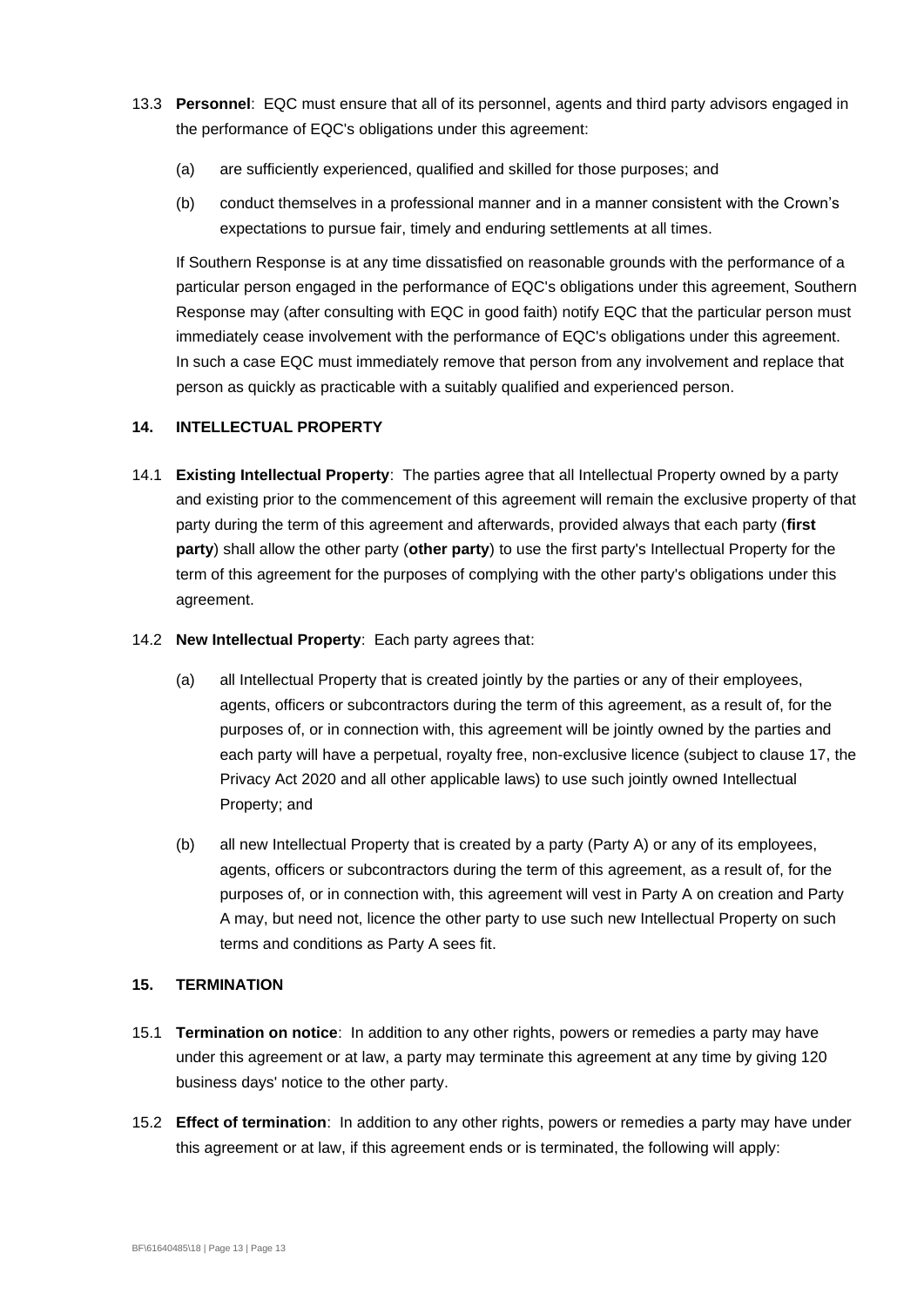- 13.3 **Personnel**: EQC must ensure that all of its personnel, agents and third party advisors engaged in the performance of EQC's obligations under this agreement:
	- (a) are sufficiently experienced, qualified and skilled for those purposes; and
	- (b) conduct themselves in a professional manner and in a manner consistent with the Crown's expectations to pursue fair, timely and enduring settlements at all times.

If Southern Response is at any time dissatisfied on reasonable grounds with the performance of a particular person engaged in the performance of EQC's obligations under this agreement, Southern Response may (after consulting with EQC in good faith) notify EQC that the particular person must immediately cease involvement with the performance of EQC's obligations under this agreement. In such a case EQC must immediately remove that person from any involvement and replace that person as quickly as practicable with a suitably qualified and experienced person.

## **14. INTELLECTUAL PROPERTY**

14.1 **Existing Intellectual Property**: The parties agree that all Intellectual Property owned by a party and existing prior to the commencement of this agreement will remain the exclusive property of that party during the term of this agreement and afterwards, provided always that each party (**first party**) shall allow the other party (**other party**) to use the first party's Intellectual Property for the term of this agreement for the purposes of complying with the other party's obligations under this agreement.

#### 14.2 **New Intellectual Property**: Each party agrees that:

- (a) all Intellectual Property that is created jointly by the parties or any of their employees, agents, officers or subcontractors during the term of this agreement, as a result of, for the purposes of, or in connection with, this agreement will be jointly owned by the parties and each party will have a perpetual, royalty free, non-exclusive licence (subject to clause [17,](#page-16-0) the Privacy Act 2020 and all other applicable laws) to use such jointly owned Intellectual Property; and
- (b) all new Intellectual Property that is created by a party (Party A) or any of its employees, agents, officers or subcontractors during the term of this agreement, as a result of, for the purposes of, or in connection with, this agreement will vest in Party A on creation and Party A may, but need not, licence the other party to use such new Intellectual Property on such terms and conditions as Party A sees fit.

#### **15. TERMINATION**

- 15.1 **Termination on notice**: In addition to any other rights, powers or remedies a party may have under this agreement or at law, a party may terminate this agreement at any time by giving 120 business days' notice to the other party.
- 15.2 **Effect of termination**: In addition to any other rights, powers or remedies a party may have under this agreement or at law, if this agreement ends or is terminated, the following will apply: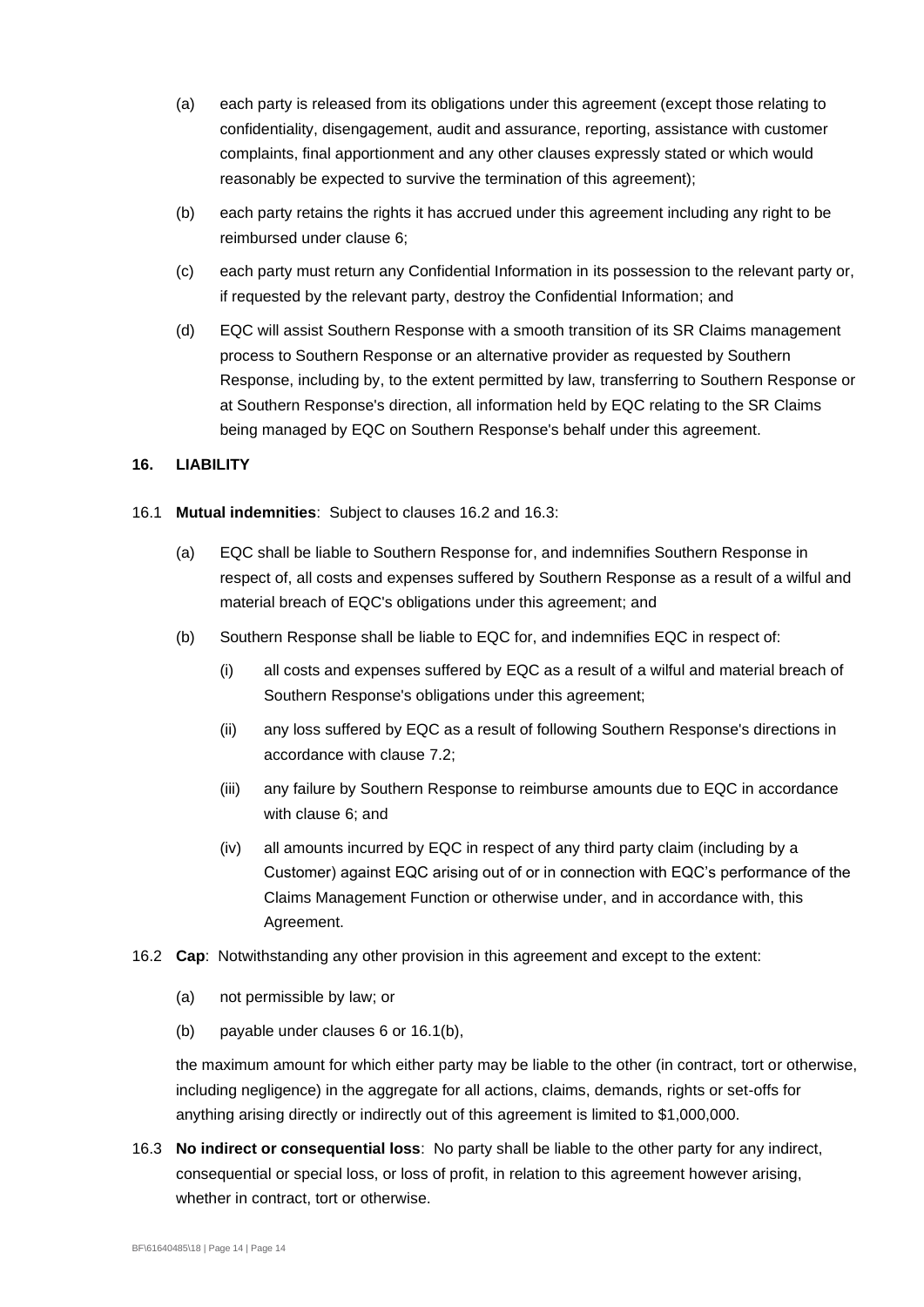- (a) each party is released from its obligations under this agreement (except those relating to confidentiality, disengagement, audit and assurance, reporting, assistance with customer complaints, final apportionment and any other clauses expressly stated or which would reasonably be expected to survive the termination of this agreement);
- (b) each party retains the rights it has accrued under this agreement including any right to be reimbursed under clause [6;](#page-9-2)
- (c) each party must return any Confidential Information in its possession to the relevant party or, if requested by the relevant party, destroy the Confidential Information; and
- (d) EQC will assist Southern Response with a smooth transition of its SR Claims management process to Southern Response or an alternative provider as requested by Southern Response, including by, to the extent permitted by law, transferring to Southern Response or at Southern Response's direction, all information held by EQC relating to the SR Claims being managed by EQC on Southern Response's behalf under this agreement.

## **16. LIABILITY**

- <span id="page-15-2"></span>16.1 **Mutual indemnities**: Subject to clauses [16.2](#page-15-0) and [16.3:](#page-15-1)
	- (a) EQC shall be liable to Southern Response for, and indemnifies Southern Response in respect of, all costs and expenses suffered by Southern Response as a result of a wilful and material breach of EQC's obligations under this agreement; and
	- (b) Southern Response shall be liable to EQC for, and indemnifies EQC in respect of:
		- (i) all costs and expenses suffered by EQC as a result of a wilful and material breach of Southern Response's obligations under this agreement;
		- (ii) any loss suffered by EQC as a result of following Southern Response's directions in accordance with clause [7.2;](#page-10-0)
		- (iii) any failure by Southern Response to reimburse amounts due to EQC in accordance with clause [6;](#page-9-2) and
		- (iv) all amounts incurred by EQC in respect of any third party claim (including by a Customer) against EQC arising out of or in connection with EQC's performance of the Claims Management Function or otherwise under, and in accordance with, this Agreement.
- <span id="page-15-0"></span>16.2 **Cap**: Notwithstanding any other provision in this agreement and except to the extent:
	- (a) not permissible by law; or
	- (b) payable under clauses [6](#page-9-2) or [16.1\(b\),](#page-15-2)

the maximum amount for which either party may be liable to the other (in contract, tort or otherwise, including negligence) in the aggregate for all actions, claims, demands, rights or set-offs for anything arising directly or indirectly out of this agreement is limited to \$1,000,000.

<span id="page-15-1"></span>16.3 **No indirect or consequential loss**: No party shall be liable to the other party for any indirect, consequential or special loss, or loss of profit, in relation to this agreement however arising, whether in contract, tort or otherwise.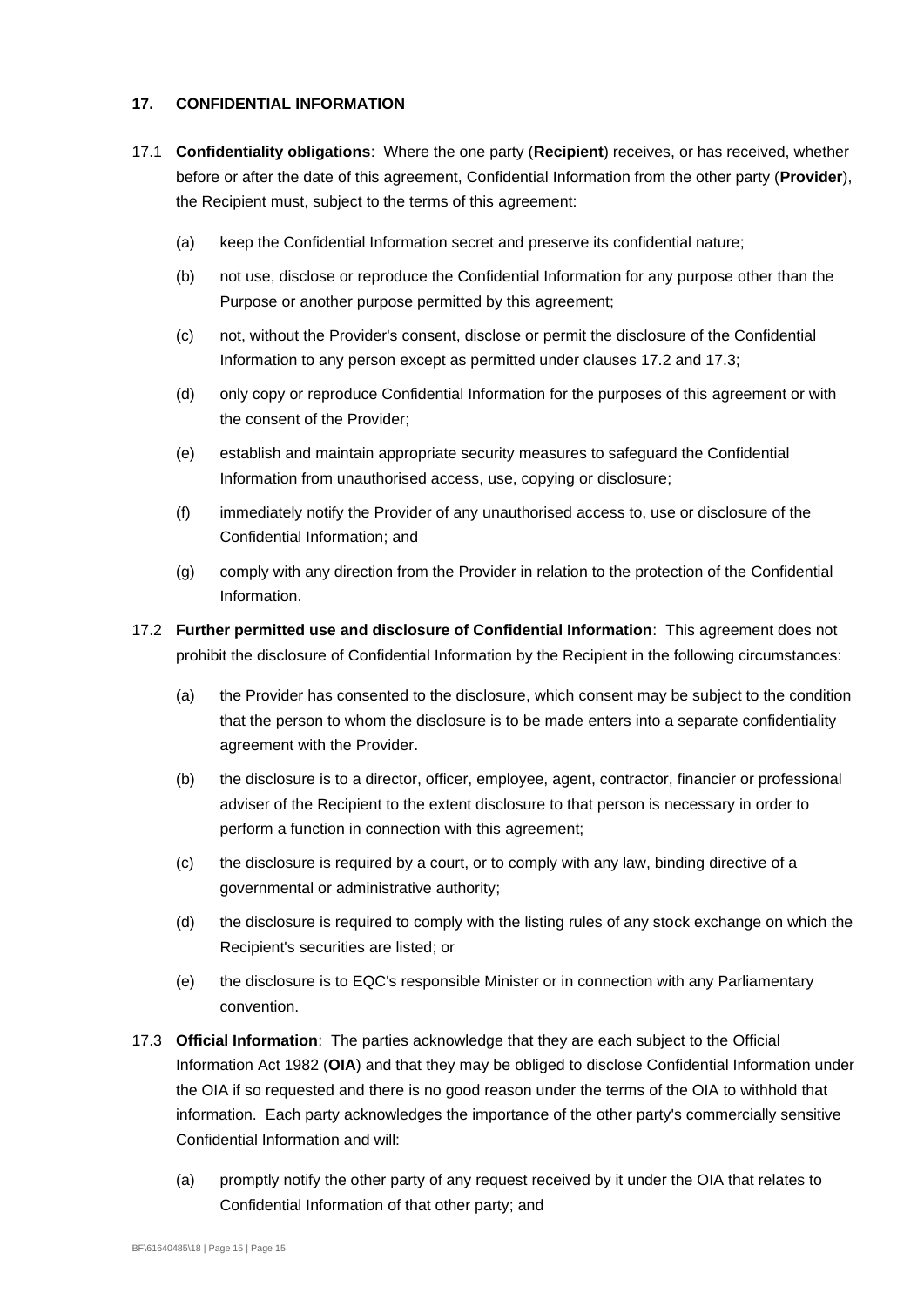#### <span id="page-16-0"></span>**17. CONFIDENTIAL INFORMATION**

- 17.1 **Confidentiality obligations**: Where the one party (**Recipient**) receives, or has received, whether before or after the date of this agreement, Confidential Information from the other party (**Provider**), the Recipient must, subject to the terms of this agreement:
	- (a) keep the Confidential Information secret and preserve its confidential nature;
	- (b) not use, disclose or reproduce the Confidential Information for any purpose other than the Purpose or another purpose permitted by this agreement;
	- (c) not, without the Provider's consent, disclose or permit the disclosure of the Confidential Information to any person except as permitted under clauses [17.2](#page-16-1) an[d 17.3;](#page-16-2)
	- (d) only copy or reproduce Confidential Information for the purposes of this agreement or with the consent of the Provider;
	- (e) establish and maintain appropriate security measures to safeguard the Confidential Information from unauthorised access, use, copying or disclosure;
	- (f) immediately notify the Provider of any unauthorised access to, use or disclosure of the Confidential Information; and
	- (g) comply with any direction from the Provider in relation to the protection of the Confidential Information.
- <span id="page-16-1"></span>17.2 **Further permitted use and disclosure of Confidential Information**: This agreement does not prohibit the disclosure of Confidential Information by the Recipient in the following circumstances:
	- (a) the Provider has consented to the disclosure, which consent may be subject to the condition that the person to whom the disclosure is to be made enters into a separate confidentiality agreement with the Provider.
	- (b) the disclosure is to a director, officer, employee, agent, contractor, financier or professional adviser of the Recipient to the extent disclosure to that person is necessary in order to perform a function in connection with this agreement;
	- (c) the disclosure is required by a court, or to comply with any law, binding directive of a governmental or administrative authority;
	- (d) the disclosure is required to comply with the listing rules of any stock exchange on which the Recipient's securities are listed; or
	- (e) the disclosure is to EQC's responsible Minister or in connection with any Parliamentary convention.
- <span id="page-16-2"></span>17.3 **Official Information**: The parties acknowledge that they are each subject to the Official Information Act 1982 (**OIA**) and that they may be obliged to disclose Confidential Information under the OIA if so requested and there is no good reason under the terms of the OIA to withhold that information. Each party acknowledges the importance of the other party's commercially sensitive Confidential Information and will:
	- (a) promptly notify the other party of any request received by it under the OIA that relates to Confidential Information of that other party; and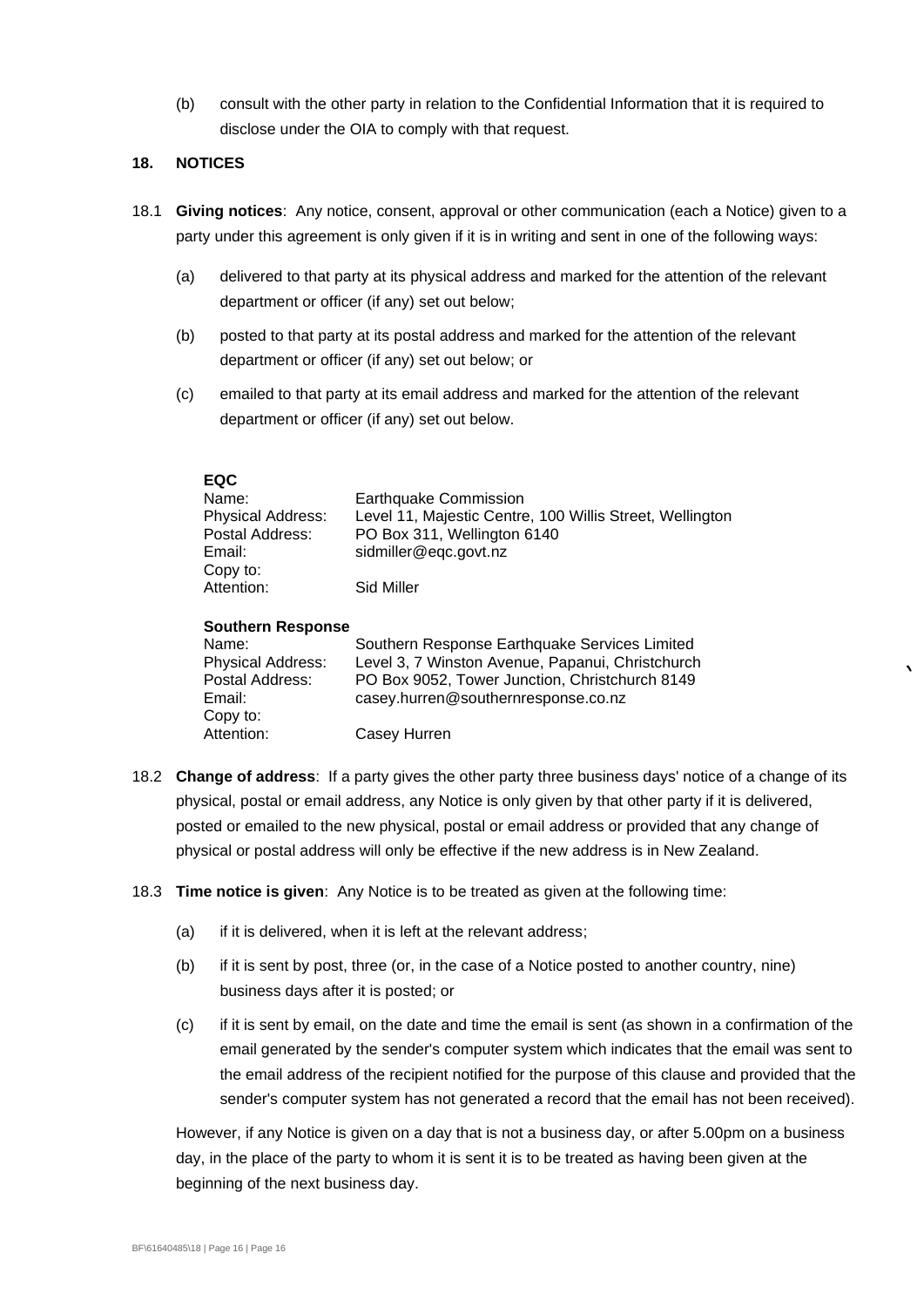(b) consult with the other party in relation to the Confidential Information that it is required to disclose under the OIA to comply with that request.

### **18. NOTICES**

- 18.1 **Giving notices**: Any notice, consent, approval or other communication (each a Notice) given to a party under this agreement is only given if it is in writing and sent in one of the following ways:
	- (a) delivered to that party at its physical address and marked for the attention of the relevant department or officer (if any) set out below;
	- (b) posted to that party at its postal address and marked for the attention of the relevant department or officer (if any) set out below; or
	- (c) emailed to that party at its email address and marked for the attention of the relevant department or officer (if any) set out below.

| <b>EQC</b>                                  |                                                                                          |  |  |
|---------------------------------------------|------------------------------------------------------------------------------------------|--|--|
| Name:                                       | <b>Earthquake Commission</b><br>Level 11, Majestic Centre, 100 Willis Street, Wellington |  |  |
| <b>Physical Address:</b><br>Postal Address: | PO Box 311, Wellington 6140                                                              |  |  |
| Email:                                      | sidmiller@eqc.govt.nz                                                                    |  |  |
|                                             |                                                                                          |  |  |
| Copy to:<br>Attention:                      | Sid Miller                                                                               |  |  |
|                                             |                                                                                          |  |  |
| <b>Southern Response</b>                    |                                                                                          |  |  |
| Name:                                       | Southern Response Earthquake Services Limited                                            |  |  |
| <b>Physical Address:</b>                    | Level 3, 7 Winston Avenue, Papanui, Christchurch                                         |  |  |
| Postal Address:                             | PO Box 9052, Tower Junction, Christchurch 8149                                           |  |  |
| Email:                                      | casey.hurren@southernresponse.co.nz                                                      |  |  |
| Copy to:                                    |                                                                                          |  |  |

18.2 **Change of address**: If a party gives the other party three business days' notice of a change of its physical, postal or email address, any Notice is only given by that other party if it is delivered, posted or emailed to the new physical, postal or email address or provided that any change of physical or postal address will only be effective if the new address is in New Zealand.

- 18.3 **Time notice is given**: Any Notice is to be treated as given at the following time:
	- (a) if it is delivered, when it is left at the relevant address;

Attention: Casey Hurren

- (b) if it is sent by post, three (or, in the case of a Notice posted to another country, nine) business days after it is posted; or
- (c) if it is sent by email, on the date and time the email is sent (as shown in a confirmation of the email generated by the sender's computer system which indicates that the email was sent to the email address of the recipient notified for the purpose of this clause and provided that the sender's computer system has not generated a record that the email has not been received).

However, if any Notice is given on a day that is not a business day, or after 5.00pm on a business day, in the place of the party to whom it is sent it is to be treated as having been given at the beginning of the next business day.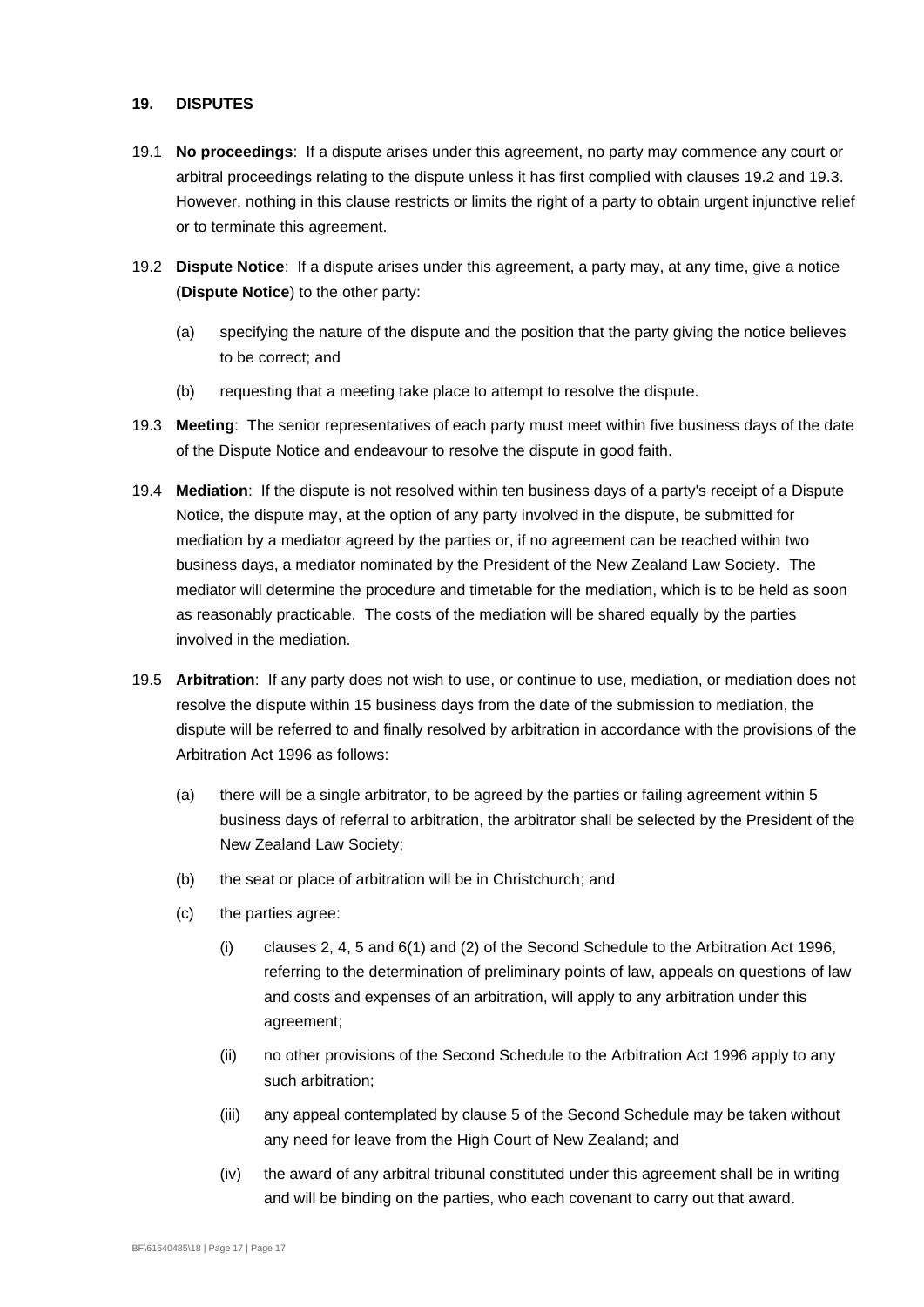#### <span id="page-18-0"></span>**19. DISPUTES**

- 19.1 **No proceedings**: If a dispute arises under this agreement, no party may commence any court or arbitral proceedings relating to the dispute unless it has first complied with clauses [19.2](#page-18-1) and [19.3.](#page-18-2) However, nothing in this clause restricts or limits the right of a party to obtain urgent injunctive relief or to terminate this agreement.
- <span id="page-18-1"></span>19.2 **Dispute Notice**: If a dispute arises under this agreement, a party may, at any time, give a notice (**Dispute Notice**) to the other party:
	- (a) specifying the nature of the dispute and the position that the party giving the notice believes to be correct; and
	- (b) requesting that a meeting take place to attempt to resolve the dispute.
- <span id="page-18-2"></span>19.3 **Meeting**: The senior representatives of each party must meet within five business days of the date of the Dispute Notice and endeavour to resolve the dispute in good faith.
- 19.4 **Mediation**: If the dispute is not resolved within ten business days of a party's receipt of a Dispute Notice, the dispute may, at the option of any party involved in the dispute, be submitted for mediation by a mediator agreed by the parties or, if no agreement can be reached within two business days, a mediator nominated by the President of the New Zealand Law Society. The mediator will determine the procedure and timetable for the mediation, which is to be held as soon as reasonably practicable. The costs of the mediation will be shared equally by the parties involved in the mediation.
- 19.5 **Arbitration**: If any party does not wish to use, or continue to use, mediation, or mediation does not resolve the dispute within 15 business days from the date of the submission to mediation, the dispute will be referred to and finally resolved by arbitration in accordance with the provisions of the Arbitration Act 1996 as follows:
	- (a) there will be a single arbitrator, to be agreed by the parties or failing agreement within 5 business days of referral to arbitration, the arbitrator shall be selected by the President of the New Zealand Law Society;
	- (b) the seat or place of arbitration will be in Christchurch; and
	- (c) the parties agree:
		- (i) clauses 2, 4, 5 and 6(1) and (2) of the Second Schedule to the Arbitration Act 1996, referring to the determination of preliminary points of law, appeals on questions of law and costs and expenses of an arbitration, will apply to any arbitration under this agreement;
		- (ii) no other provisions of the Second Schedule to the Arbitration Act 1996 apply to any such arbitration;
		- (iii) any appeal contemplated by clause 5 of the Second Schedule may be taken without any need for leave from the High Court of New Zealand; and
		- (iv) the award of any arbitral tribunal constituted under this agreement shall be in writing and will be binding on the parties, who each covenant to carry out that award.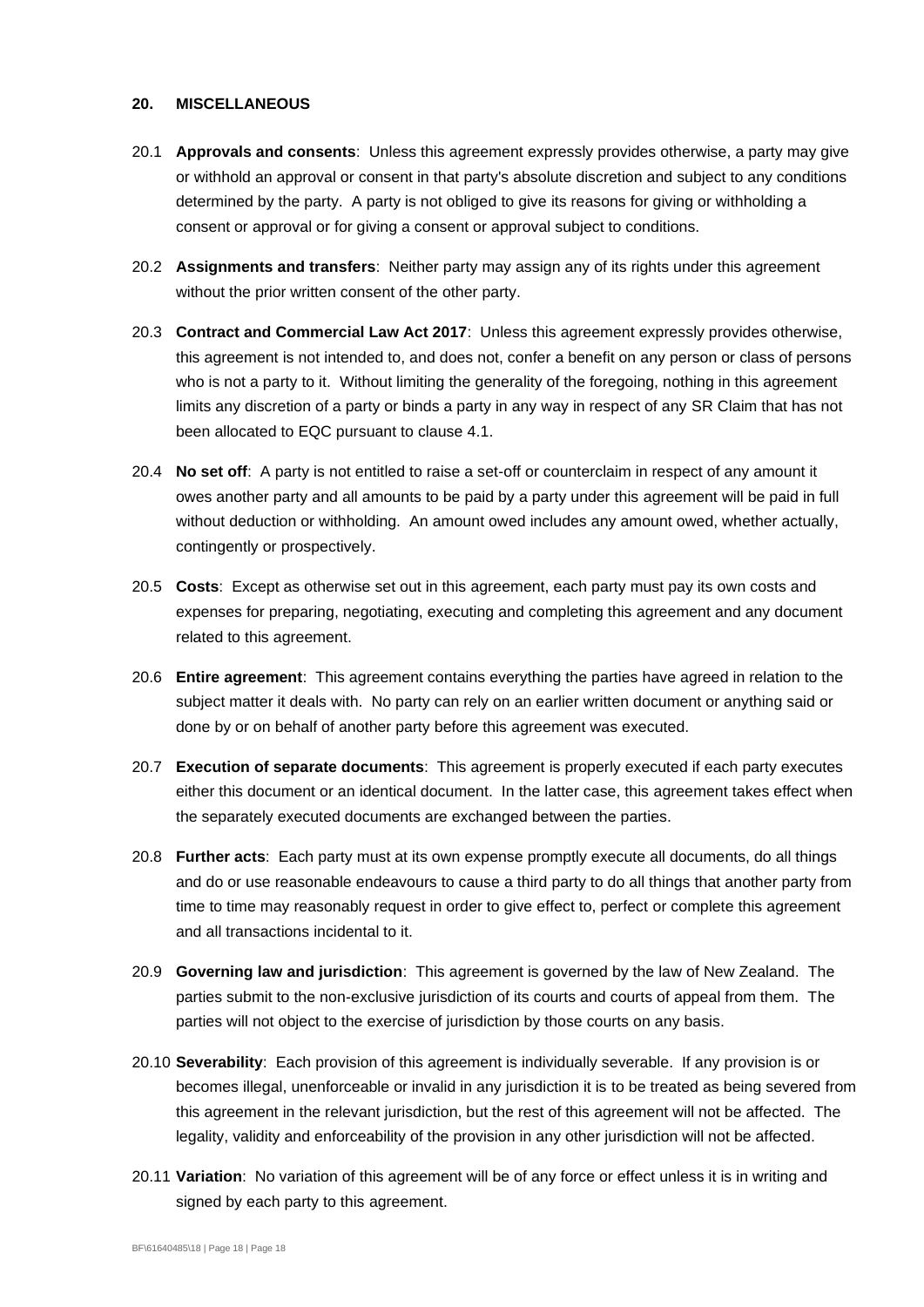#### **20. MISCELLANEOUS**

- 20.1 **Approvals and consents**: Unless this agreement expressly provides otherwise, a party may give or withhold an approval or consent in that party's absolute discretion and subject to any conditions determined by the party. A party is not obliged to give its reasons for giving or withholding a consent or approval or for giving a consent or approval subject to conditions.
- 20.2 **Assignments and transfers**: Neither party may assign any of its rights under this agreement without the prior written consent of the other party.
- 20.3 **Contract and Commercial Law Act 2017**: Unless this agreement expressly provides otherwise, this agreement is not intended to, and does not, confer a benefit on any person or class of persons who is not a party to it. Without limiting the generality of the foregoing, nothing in this agreement limits any discretion of a party or binds a party in any way in respect of any SR Claim that has not been allocated to EQC pursuant to clause [4.1.](#page-7-5)
- 20.4 **No set off**: A party is not entitled to raise a set-off or counterclaim in respect of any amount it owes another party and all amounts to be paid by a party under this agreement will be paid in full without deduction or withholding. An amount owed includes any amount owed, whether actually, contingently or prospectively.
- 20.5 **Costs**: Except as otherwise set out in this agreement, each party must pay its own costs and expenses for preparing, negotiating, executing and completing this agreement and any document related to this agreement.
- 20.6 **Entire agreement**: This agreement contains everything the parties have agreed in relation to the subject matter it deals with. No party can rely on an earlier written document or anything said or done by or on behalf of another party before this agreement was executed.
- 20.7 **Execution of separate documents**: This agreement is properly executed if each party executes either this document or an identical document. In the latter case, this agreement takes effect when the separately executed documents are exchanged between the parties.
- 20.8 **Further acts**: Each party must at its own expense promptly execute all documents, do all things and do or use reasonable endeavours to cause a third party to do all things that another party from time to time may reasonably request in order to give effect to, perfect or complete this agreement and all transactions incidental to it.
- 20.9 **Governing law and jurisdiction**: This agreement is governed by the law of New Zealand. The parties submit to the non-exclusive jurisdiction of its courts and courts of appeal from them. The parties will not object to the exercise of jurisdiction by those courts on any basis.
- 20.10 **Severability**: Each provision of this agreement is individually severable. If any provision is or becomes illegal, unenforceable or invalid in any jurisdiction it is to be treated as being severed from this agreement in the relevant jurisdiction, but the rest of this agreement will not be affected. The legality, validity and enforceability of the provision in any other jurisdiction will not be affected.
- 20.11 **Variation**: No variation of this agreement will be of any force or effect unless it is in writing and signed by each party to this agreement.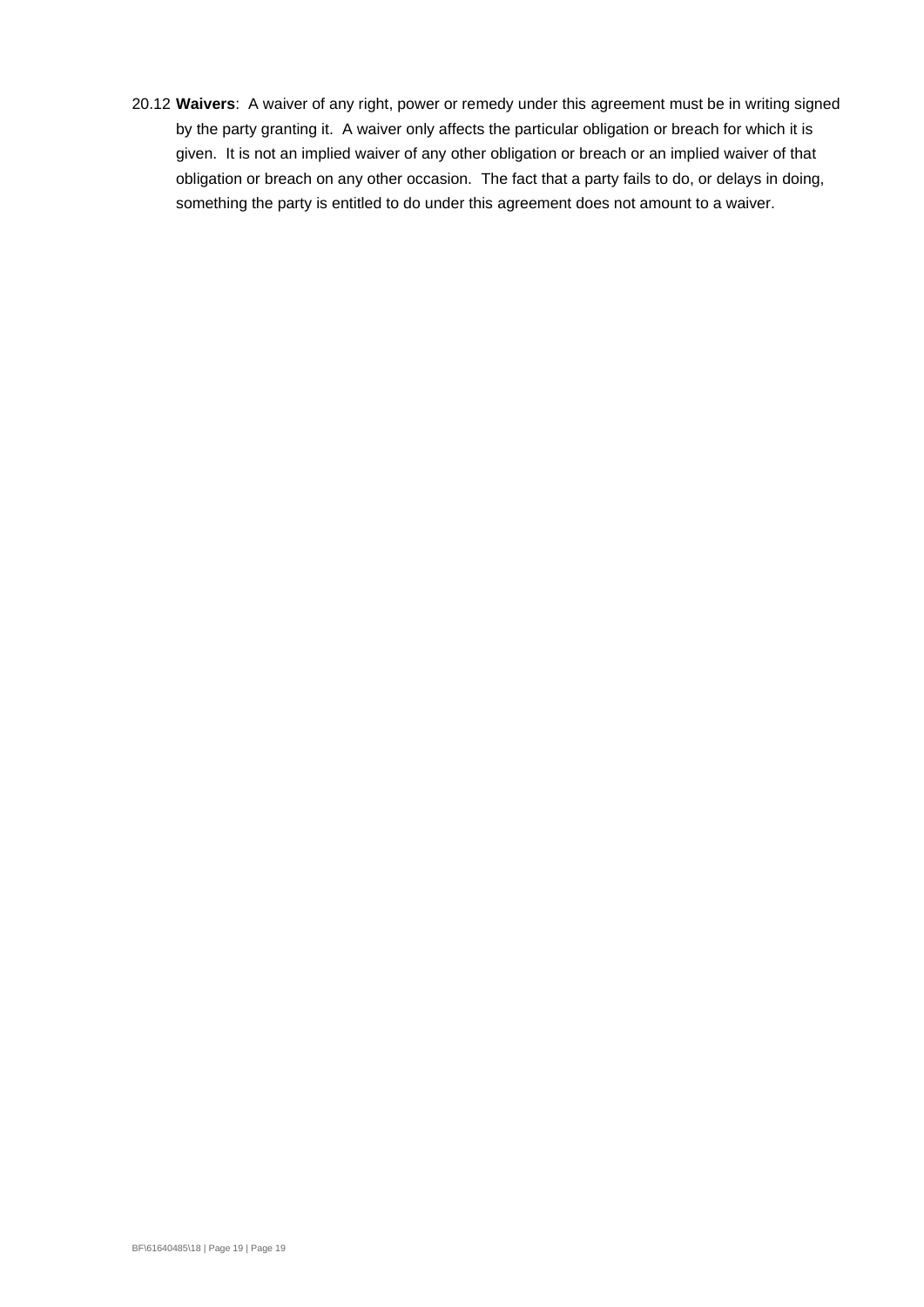20.12 **Waivers**: A waiver of any right, power or remedy under this agreement must be in writing signed by the party granting it. A waiver only affects the particular obligation or breach for which it is given. It is not an implied waiver of any other obligation or breach or an implied waiver of that obligation or breach on any other occasion. The fact that a party fails to do, or delays in doing, something the party is entitled to do under this agreement does not amount to a waiver.